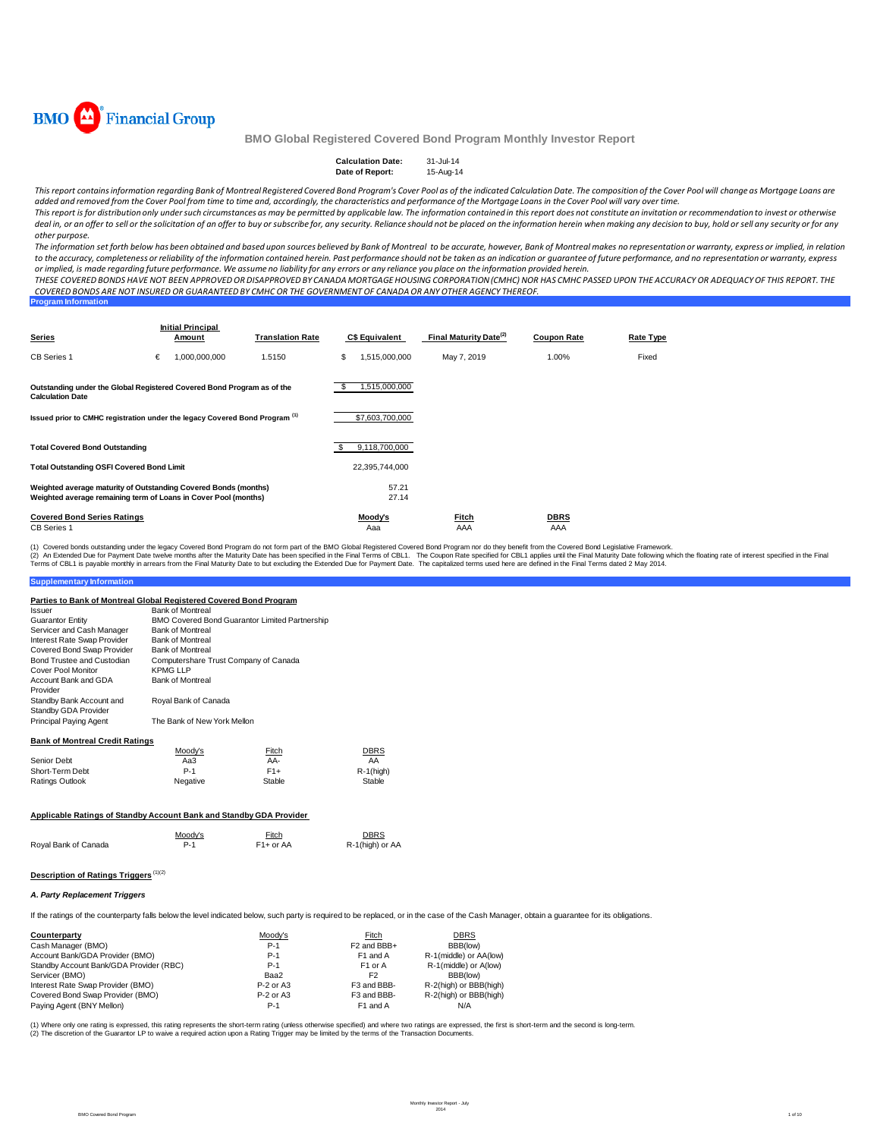

| <b>Calculation Date:</b> | $31 - Jul - 14$ |
|--------------------------|-----------------|
| Date of Report:          | 15-Aug-14       |

This report contains information regarding Bank of Montreal Registered Covered Bond Program's Cover Pool as of the indicated Calculation Date. The composition of the Cover Pool will change as Mortgage Loans are added and removed from the Cover Pool from time to time and, accordingly, the characteristics and performance of the Mortgage Loans in the Cover Pool will vary over time.

This report is for distribution only under such circumstances as may be permitted by applicable law. The information contained in this report does not constitute an invitation or recommendation to invest or otherwise deal in, or an offer to sell or the solicitation of an offer to buy or subscribe for, any security. Reliance should not be placed on the information herein when making any decision to buy, hold or sell any security or for *other purpose.*

The information set forth below has been obtained and based upon sources believed by Bank of Montreal to be accurate, however, Bank of Montreal makes no representation or warranty, express or implied, in relation to the accuracy, completeness or reliability of the information contained herein. Past performance should not be taken as an indication or guarantee of future performance, and no representation or warranty, express or implied, is made regarding future performance. We assume no liability for any errors or any reliance you place on the information provided herein.

THESE COVERED BONDS HAVE NOT BEEN APPROVED OR DISAPPROVED BY CANADA MORTGAGE HOUSING CORPORATION (CMHC) NOR HAS CMHC PASSED UPON THE ACCURACY OR ADEQUACY OF THIS REPORT. THE COVERED BONDS ARE NOT INSURED OR GUARANTEED BY CMHC OR THE GOVERNMENT OF CANADA OR ANY OTHER AGENCY THEREOF.

| <b>Program Information</b> |  |  |  |
|----------------------------|--|--|--|
|                            |  |  |  |
|                            |  |  |  |

|                                                                                                                                    |   | <b>Initial Principal</b> |                         |                       |                                    |                    |           |
|------------------------------------------------------------------------------------------------------------------------------------|---|--------------------------|-------------------------|-----------------------|------------------------------------|--------------------|-----------|
| <b>Series</b>                                                                                                                      |   | Amount                   | <b>Translation Rate</b> | <b>C\$ Equivalent</b> | Final Maturity Date <sup>(2)</sup> | <b>Coupon Rate</b> | Rate Type |
| CB Series 1                                                                                                                        | € | 1.000.000.000            | 1.5150                  | \$<br>1.515.000.000   | May 7, 2019                        | 1.00%              | Fixed     |
| Outstanding under the Global Registered Covered Bond Program as of the<br><b>Calculation Date</b>                                  |   |                          |                         | \$<br>1,515,000,000   |                                    |                    |           |
| Issued prior to CMHC registration under the legacy Covered Bond Program <sup>(1)</sup>                                             |   |                          |                         | \$7,603,700,000       |                                    |                    |           |
| <b>Total Covered Bond Outstanding</b>                                                                                              |   |                          |                         | \$<br>9,118,700,000   |                                    |                    |           |
| <b>Total Outstanding OSFI Covered Bond Limit</b>                                                                                   |   |                          |                         | 22,395,744,000        |                                    |                    |           |
| Weighted average maturity of Outstanding Covered Bonds (months)<br>Weighted average remaining term of Loans in Cover Pool (months) |   |                          |                         | 57.21<br>27.14        |                                    |                    |           |
| <b>Covered Bond Series Ratings</b><br>CB Series 1                                                                                  |   |                          |                         | Moody's<br>Aaa        | Fitch<br>AAA                       | <b>DBRS</b><br>AAA |           |

(1) Covered bonds outstanding under the legacy Covered Bond Program do not form part of the BMO Global Registered Covered Bond Program nor do they benefit from the Covered Bond Legislative Framework.<br>(2) An Extended Due fo

#### **Supplementary Information**

| Parties to Bank of Montreal Global Registered Covered Bond Program |                                                          |                                                       |              |
|--------------------------------------------------------------------|----------------------------------------------------------|-------------------------------------------------------|--------------|
| Issuer                                                             | <b>Bank of Montreal</b>                                  |                                                       |              |
| <b>Guarantor Entity</b>                                            |                                                          | <b>BMO Covered Bond Guarantor Limited Partnership</b> |              |
| Servicer and Cash Manager                                          | <b>Bank of Montreal</b>                                  |                                                       |              |
| Interest Rate Swap Provider                                        | <b>Bank of Montreal</b>                                  |                                                       |              |
| Covered Bond Swap Provider                                         | <b>Bank of Montreal</b>                                  |                                                       |              |
| Bond Trustee and Custodian<br>Cover Pool Monitor                   | Computershare Trust Company of Canada<br><b>KPMG LLP</b> |                                                       |              |
| Account Bank and GDA<br>Provider                                   | <b>Bank of Montreal</b>                                  |                                                       |              |
| Standby Bank Account and<br>Standby GDA Provider                   | Royal Bank of Canada                                     |                                                       |              |
| <b>Principal Paying Agent</b>                                      | The Bank of New York Mellon                              |                                                       |              |
| <b>Bank of Montreal Credit Ratings</b>                             |                                                          |                                                       |              |
|                                                                    | Moody's                                                  | Fitch                                                 | DBRS         |
| Senior Debt                                                        | Aa3                                                      | AA-                                                   | AA           |
| Short-Term Debt                                                    | $P-1$                                                    | $F1+$                                                 | $R-1$ (high) |
| <b>Ratings Outlook</b>                                             | Negative                                                 | Stable                                                | Stable       |

### **Applicable Ratings of Standby Account Bank and Standby GDA Provider**

| Moody's |
|---------|

| Royal Bank of Canada |  | F1+ or AA | R-1(high |
|----------------------|--|-----------|----------|
|----------------------|--|-----------|----------|

#### **Description of Ratings Triggers** (1)(2)

#### *A. Party Replacement Triggers*

If the ratings of the counterparty falls below the level indicated below, such party is required to be replaced, or in the case of the Cash Manager, obtain a quarantee for its obligations.

 $\overline{\text{or } }$  AA

Fitch DBRS

| Counterparty                            | Moodv's     | Fitch                   | <b>DBRS</b>            |
|-----------------------------------------|-------------|-------------------------|------------------------|
| Cash Manager (BMO)                      | $P-1$       | F <sub>2</sub> and BBB+ | BBB(low)               |
| Account Bank/GDA Provider (BMO)         | $P-1$       | F <sub>1</sub> and A    | R-1(middle) or AA(low) |
| Standby Account Bank/GDA Provider (RBC) | $P-1$       | F <sub>1</sub> or A     | R-1(middle) or A(low)  |
| Servicer (BMO)                          | Baa2        | F <sub>2</sub>          | BBB(low)               |
| Interest Rate Swap Provider (BMO)       | P-2 or A3   | F3 and BBB-             | R-2(high) or BBB(high) |
| Covered Bond Swap Provider (BMO)        | $P-2$ or A3 | F3 and BBB-             | R-2(high) or BBB(high) |
| Paying Agent (BNY Mellon)               | $P-1$       | F1 and A                | N/A                    |

(1) Where only one rating is expressed, this rating represents the short-term rating (unless otherwise specified) and where two ratings are expressed, the first is short-term and the second is long-term.<br>(2) The discretion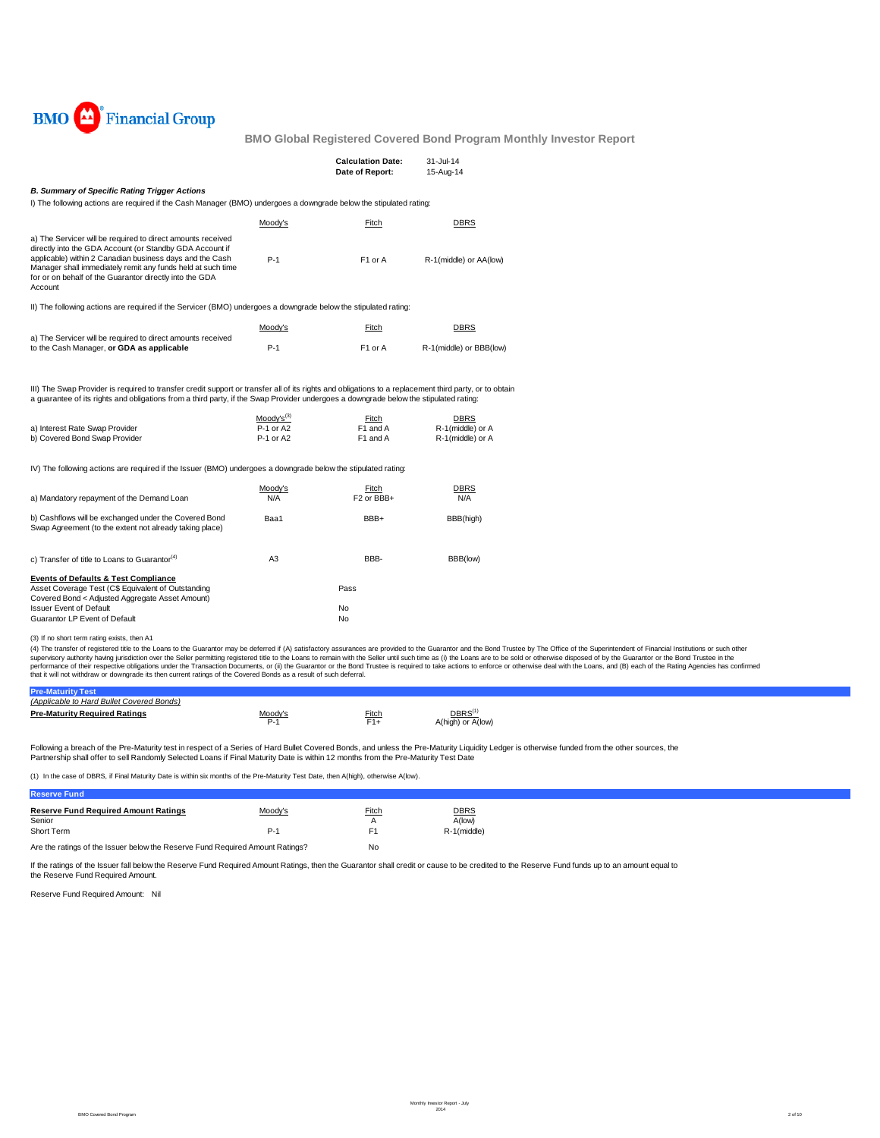

|                                                                                                                                                                                                                                                                                                                                                                    |                                                  | <b>Calculation Date:</b><br>Date of Report: | 31-Jul-14<br>15-Aug-14                              |  |
|--------------------------------------------------------------------------------------------------------------------------------------------------------------------------------------------------------------------------------------------------------------------------------------------------------------------------------------------------------------------|--------------------------------------------------|---------------------------------------------|-----------------------------------------------------|--|
| <b>B. Summary of Specific Rating Trigger Actions</b>                                                                                                                                                                                                                                                                                                               |                                                  |                                             |                                                     |  |
| I) The following actions are required if the Cash Manager (BMO) undergoes a downgrade below the stipulated rating:                                                                                                                                                                                                                                                 |                                                  |                                             |                                                     |  |
|                                                                                                                                                                                                                                                                                                                                                                    | Moody's                                          | Fitch                                       | <b>DBRS</b>                                         |  |
| a) The Servicer will be required to direct amounts received<br>directly into the GDA Account (or Standby GDA Account if<br>applicable) within 2 Canadian business days and the Cash<br>Manager shall immediately remit any funds held at such time<br>for or on behalf of the Guarantor directly into the GDA<br>Account                                           | $P-1$                                            | F1 or A                                     | R-1(middle) or AA(low)                              |  |
| II) The following actions are required if the Servicer (BMO) undergoes a downgrade below the stipulated rating:                                                                                                                                                                                                                                                    |                                                  |                                             |                                                     |  |
| a) The Servicer will be required to direct amounts received                                                                                                                                                                                                                                                                                                        | Moody's                                          | Fitch                                       | <b>DBRS</b>                                         |  |
| to the Cash Manager, or GDA as applicable                                                                                                                                                                                                                                                                                                                          | $P-1$                                            | F1 or A                                     | R-1(middle) or BBB(low)                             |  |
| III) The Swap Provider is required to transfer credit support or transfer all of its rights and obligations to a replacement third party, or to obtain<br>a guarantee of its rights and obligations from a third party, if the Swap Provider undergoes a downgrade below the stipulated rating:<br>a) Interest Rate Swap Provider<br>b) Covered Bond Swap Provider | Moody's <sup>(3)</sup><br>P-1 or A2<br>P-1 or A2 | Fitch<br>F1 and A<br>F1 and A               | <b>DBRS</b><br>R-1(middle) or A<br>R-1(middle) or A |  |
| IV) The following actions are required if the Issuer (BMO) undergoes a downgrade below the stipulated rating:                                                                                                                                                                                                                                                      |                                                  |                                             |                                                     |  |
| a) Mandatory repayment of the Demand Loan                                                                                                                                                                                                                                                                                                                          | Moody's<br>N/A                                   | Fitch<br>F <sub>2</sub> or BB <sub>+</sub>  | DBRS<br>N/A                                         |  |
| b) Cashflows will be exchanged under the Covered Bond<br>Swap Agreement (to the extent not already taking place)                                                                                                                                                                                                                                                   | Baa1                                             | BBB+                                        | BBB(high)                                           |  |
| c) Transfer of title to Loans to Guarantor <sup>(4)</sup>                                                                                                                                                                                                                                                                                                          | A <sub>3</sub>                                   | BBB-                                        | BBB(low)                                            |  |
| <b>Events of Defaults &amp; Test Compliance</b><br>Asset Coverage Test (C\$ Equivalent of Outstanding<br>Covered Bond < Adjusted Aggregate Asset Amount)<br><b>Issuer Event of Default</b><br>Guarantor LP Event of Default                                                                                                                                        |                                                  | Pass<br>No<br>No                            |                                                     |  |
| (2) If no chort torm rating oviete, than A1                                                                                                                                                                                                                                                                                                                        |                                                  |                                             |                                                     |  |

(3) If no short term rating exists, then A1<br>(4) The transfer of registered title to the Cuaractor asy the distense of the Guaractory assurances are provided to the Guarantor and the Bond Trustee by The Office of the Superi

| <b>Pre-Maturity</b>                       |         |       |                   |
|-------------------------------------------|---------|-------|-------------------|
| (Applicable to Hard Bullet Covered Bonds) |         |       |                   |
| <b>Pre-Maturity Required Ratings</b>      | Moody's | Fitch |                   |
|                                           |         |       | A(high) or A(low) |

Following a breach of the Pre-Maturity test in respect of a Series of Hard Bullet Covered Bonds, and unless the Pre-Maturity Liquidity Ledger is otherwise funded from the other sources, the Partnership shall offer to sell Randomly Selected Loans if Final Maturity Date is within 12 months from the Pre-Maturity Test Date

(1) In the case of DBRS, if Final Maturity Date is within six months of the Pre-Maturity Test Date, then A(high), otherwise A(low).

| <b>Reserve Fund</b>                                                           |         |                |             |
|-------------------------------------------------------------------------------|---------|----------------|-------------|
| <b>Reserve Fund Required Amount Ratings</b>                                   | Moody's | Fitch          | <b>DBRS</b> |
| Senior                                                                        |         |                | A(low)      |
| Short Term                                                                    | $P-1$   | F <sub>1</sub> | R-1(middle) |
| Are the ratings of the Issuer below the Reserve Fund Required Amount Ratings? |         | No             |             |

If the ratings of the Issuer fall below the Reserve Fund Required Amount Ratings, then the Guarantor shall credit or cause to be credited to the Reserve Fund funds up to an amount equal to the Reserve Fund Required Amount.

Reserve Fund Required Amount: Nil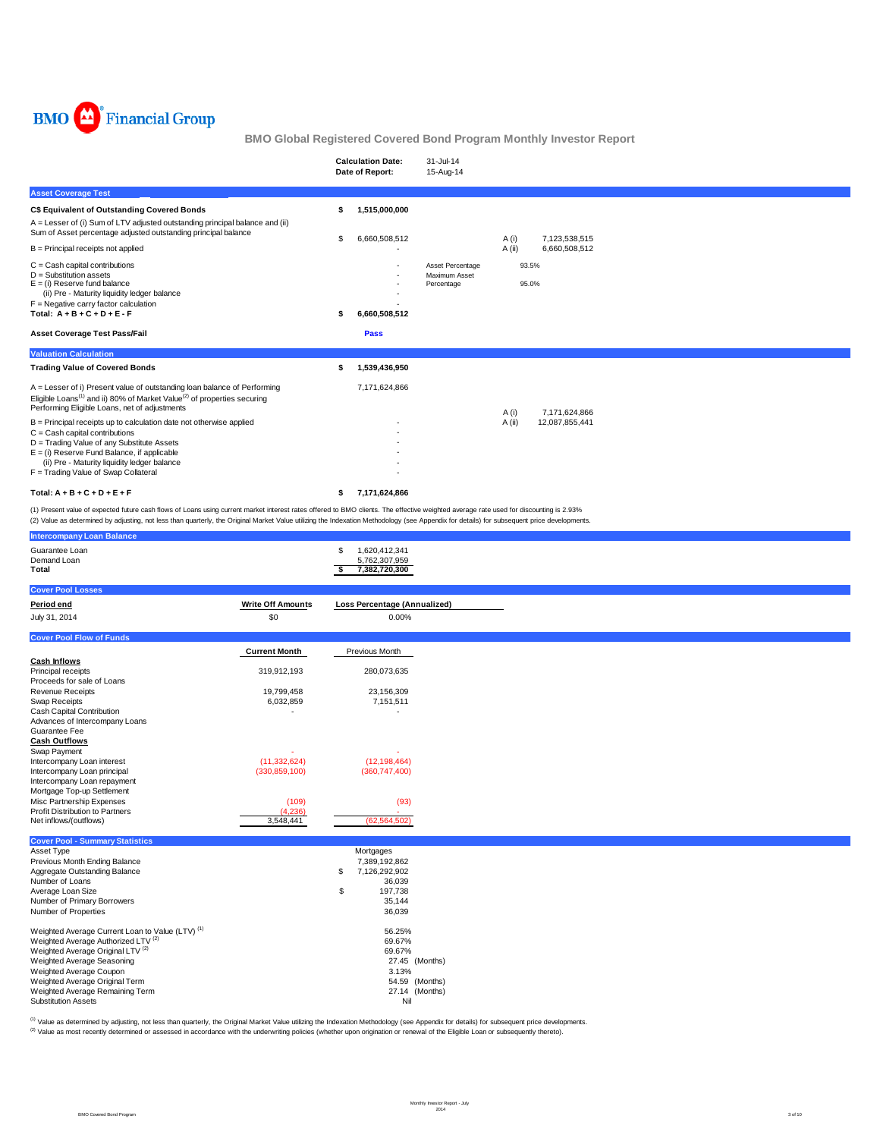

|                                                                                                                                                                                                                              |    | <b>Calculation Date:</b><br>Date of Report: | $31 -$ Jul-14<br>15-Aug-14                      |                            |
|------------------------------------------------------------------------------------------------------------------------------------------------------------------------------------------------------------------------------|----|---------------------------------------------|-------------------------------------------------|----------------------------|
| <b>Asset Coverage Test</b>                                                                                                                                                                                                   |    |                                             |                                                 |                            |
| C\$ Equivalent of Outstanding Covered Bonds                                                                                                                                                                                  | S  | 1,515,000,000                               |                                                 |                            |
| A = Lesser of (i) Sum of LTV adjusted outstanding principal balance and (ii)<br>Sum of Asset percentage adjusted outstanding principal balance                                                                               | £. | 6,660,508,512                               |                                                 | A(i)<br>7,123,538,515      |
| $B =$ Principal receipts not applied                                                                                                                                                                                         |    |                                             |                                                 | A (ii)<br>6,660,508,512    |
| $C =$ Cash capital contributions<br>$D =$ Substitution assets<br>$E = (i)$ Reserve fund balance<br>(ii) Pre - Maturity liquidity ledger balance<br>$F = Neqative carry factor calculation$                                   |    |                                             | Asset Percentage<br>Maximum Asset<br>Percentage | 93.5%<br>95.0%             |
| Total: $A + B + C + D + E - F$                                                                                                                                                                                               |    | 6,660,508,512                               |                                                 |                            |
| <b>Asset Coverage Test Pass/Fail</b>                                                                                                                                                                                         |    | Pass                                        |                                                 |                            |
| <b>Valuation Calculation</b>                                                                                                                                                                                                 |    |                                             |                                                 |                            |
| <b>Trading Value of Covered Bonds</b>                                                                                                                                                                                        |    | 1,539,436,950                               |                                                 |                            |
| A = Lesser of i) Present value of outstanding loan balance of Performing<br>Eligible Loans <sup>(1)</sup> and ii) 80% of Market Value <sup>(2)</sup> of properties securing<br>Performing Eligible Loans, net of adjustments |    | 7,171,624,866                               |                                                 | A (i)<br>7,171,624,866     |
| B = Principal receipts up to calculation date not otherwise applied<br>$C =$ Cash capital contributions                                                                                                                      |    |                                             |                                                 | $A$ (ii)<br>12,087,855,441 |
| D = Trading Value of any Substitute Assets<br>$E = (i)$ Reserve Fund Balance, if applicable                                                                                                                                  |    |                                             |                                                 |                            |
| (ii) Pre - Maturity liquidity ledger balance<br>F = Trading Value of Swap Collateral                                                                                                                                         |    |                                             |                                                 |                            |
| Total: $A + B + C + D + E + F$                                                                                                                                                                                               | S  | 7,171,624,866                               |                                                 |                            |
| (1) Present value of expected future cash flows of Loans using current market interest rates offered to BMO clients. The effective weighted average rate used for discounting is 2.93%                                       |    |                                             |                                                 |                            |

(1) Present value of expected future cash flows of Loans using current market interest rates offered to BMO clients. The effective weighted average rate used for discounting is 2.93%<br>(2) Value as determined by adjusting, n

| <b>Intercompany Loan Balance</b>                            |                          |                              |                |
|-------------------------------------------------------------|--------------------------|------------------------------|----------------|
| Guarantee Loan                                              |                          | \$<br>1,620,412,341          |                |
| Demand Loan                                                 |                          | 5,762,307,959                |                |
| Total                                                       |                          | \$<br>7,382,720,300          |                |
|                                                             |                          |                              |                |
| <b>Cover Pool Losses</b>                                    |                          |                              |                |
| Period end                                                  | <b>Write Off Amounts</b> | Loss Percentage (Annualized) |                |
|                                                             |                          |                              |                |
| July 31, 2014                                               | \$0                      | 0.00%                        |                |
| <b>Cover Pool Flow of Funds</b>                             |                          |                              |                |
|                                                             | <b>Current Month</b>     | Previous Month               |                |
| <b>Cash Inflows</b>                                         |                          |                              |                |
| Principal receipts                                          | 319,912,193              | 280,073,635                  |                |
| Proceeds for sale of Loans                                  |                          |                              |                |
| Revenue Receipts                                            | 19,799,458               | 23,156,309                   |                |
| Swap Receipts                                               | 6,032,859                | 7,151,511                    |                |
| Cash Capital Contribution                                   |                          |                              |                |
| Advances of Intercompany Loans                              |                          |                              |                |
| Guarantee Fee                                               |                          |                              |                |
| <b>Cash Outflows</b>                                        |                          |                              |                |
| Swap Payment                                                |                          |                              |                |
| Intercompany Loan interest                                  | (11, 332, 624)           | (12, 198, 464)               |                |
| Intercompany Loan principal                                 | (330, 859, 100)          | (360, 747, 400)              |                |
| Intercompany Loan repayment                                 |                          |                              |                |
| Mortgage Top-up Settlement                                  |                          |                              |                |
| Misc Partnership Expenses                                   | (109)                    | (93)                         |                |
|                                                             |                          |                              |                |
| Profit Distribution to Partners                             | (4,236)                  | a.                           |                |
| Net inflows/(outflows)                                      | 3,548,441                | (62, 564, 502)               |                |
| <b>Cover Pool - Summary Statistics</b>                      |                          |                              |                |
| Asset Type                                                  |                          | Mortgages                    |                |
| Previous Month Ending Balance                               |                          | 7,389,192,862                |                |
| Aggregate Outstanding Balance                               |                          | \$<br>7,126,292,902          |                |
| Number of Loans                                             |                          | 36,039                       |                |
| Average Loan Size                                           |                          | \$<br>197,738                |                |
| Number of Primary Borrowers                                 |                          | 35,144                       |                |
| Number of Properties                                        |                          | 36,039                       |                |
|                                                             |                          |                              |                |
| Weighted Average Current Loan to Value (LTV) <sup>(1)</sup> |                          | 56.25%                       |                |
| Weighted Average Authorized LTV <sup>(2)</sup>              |                          | 69.67%                       |                |
| Weighted Average Original LTV <sup>(2)</sup>                |                          | 69.67%                       |                |
|                                                             |                          |                              |                |
| Weighted Average Seasoning                                  |                          |                              | 27.45 (Months) |
| Weighted Average Coupon                                     |                          | 3.13%                        |                |
| Weighted Average Original Term                              |                          |                              | 54.59 (Months) |
| Weighted Average Remaining Term                             |                          |                              | 27.14 (Months) |
| <b>Substitution Assets</b>                                  |                          | Nil                          |                |

<sup>(1)</sup> Value as determined by adjusting, not less than quarterly, the Original Market Value utilizing the Indexation Methodology (see Appendix for details) for subsequent price developments.<br><sup>(2)</sup> Value as most recently det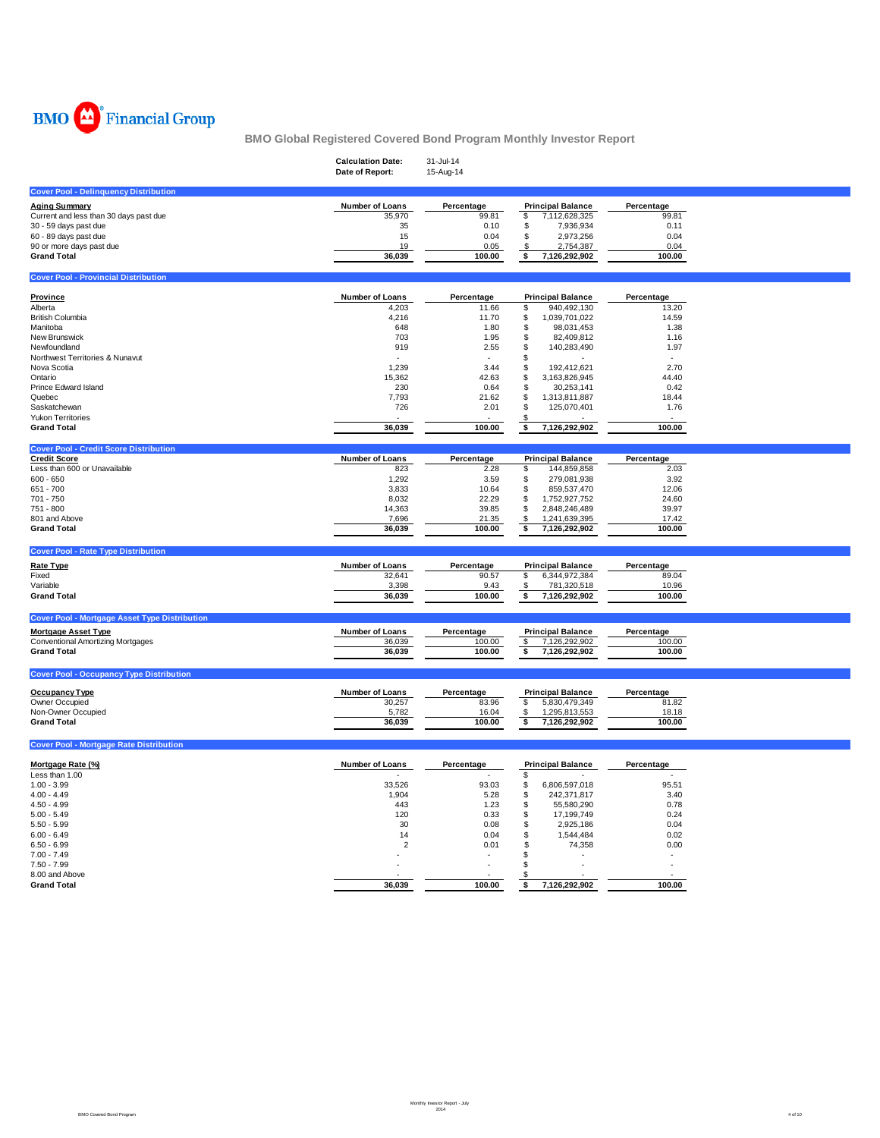

|                                                                      | <b>Calculation Date:</b><br>Date of Report: | 31-Jul-14<br>15-Aug-14 |                                               |                     |  |
|----------------------------------------------------------------------|---------------------------------------------|------------------------|-----------------------------------------------|---------------------|--|
| <b>Cover Pool - Delinquency Distribution</b>                         |                                             |                        |                                               |                     |  |
| <b>Aging Summary</b>                                                 | Number of Loans                             | Percentage             | <b>Principal Balance</b>                      | Percentage          |  |
| Current and less than 30 days past due                               | 35,970                                      | 99.81                  | 7,112,628,325<br>\$                           | 99.81               |  |
| 30 - 59 days past due                                                | 35                                          | 0.10                   | \$<br>7,936,934                               | 0.11                |  |
| 60 - 89 days past due                                                | 15                                          | 0.04                   | 2,973,256<br>\$                               | 0.04                |  |
| 90 or more days past due                                             | 19                                          | 0.05                   | 2,754,387<br>\$                               | 0.04                |  |
| <b>Grand Total</b>                                                   | 36,039                                      | 100.00                 | \$<br>7,126,292,902                           | 100.00              |  |
| <b>Cover Pool - Provincial Distribution</b>                          |                                             |                        |                                               |                     |  |
|                                                                      |                                             |                        |                                               |                     |  |
| <b>Province</b><br>Alberta                                           | Number of Loans<br>4,203                    | Percentage<br>11.66    | <b>Principal Balance</b><br>940,492,130<br>\$ | Percentage<br>13.20 |  |
| <b>British Columbia</b>                                              | 4,216                                       | 11.70                  | \$<br>1,039,701,022                           | 14.59               |  |
| Manitoba                                                             | 648                                         | 1.80                   | $\$$<br>98,031,453                            | 1.38                |  |
| New Brunswick                                                        | 703                                         | 1.95                   | \$<br>82,409,812                              | 1.16                |  |
| Newfoundland                                                         | 919                                         | 2.55                   | \$<br>140,283,490                             | 1.97                |  |
| Northwest Territories & Nunavut                                      |                                             | $\sim$                 | \$                                            |                     |  |
| Nova Scotia                                                          | 1,239                                       | 3.44                   | \$<br>192,412,621                             | 2.70                |  |
| Ontario                                                              | 15,362                                      | 42.63                  | \$<br>3,163,826,945                           | 44.40               |  |
| Prince Edward Island                                                 | 230                                         | 0.64                   | \$<br>30,253,141                              | 0.42                |  |
| Quebec                                                               | 7,793                                       | 21.62                  | \$<br>1,313,811,887                           | 18.44               |  |
| Saskatchewan<br><b>Yukon Territories</b>                             | 726                                         | 2.01                   | \$<br>125,070,401                             | 1.76                |  |
| <b>Grand Total</b>                                                   | 36,039                                      | 100.00                 | -S<br>7,126,292,902<br>£.                     | 100.00              |  |
|                                                                      |                                             |                        |                                               |                     |  |
| <b>Cover Pool - Credit Score Distribution</b><br><b>Credit Score</b> | Number of Loans                             | Percentage             | <b>Principal Balance</b>                      | Percentage          |  |
| Less than 600 or Unavailable                                         | 823                                         | 2.28                   | 144,859,858<br>\$                             | 2.03                |  |
| $600 - 650$                                                          | 1,292                                       | 3.59                   | \$<br>279,081,938                             | 3.92                |  |
| $651 - 700$                                                          | 3,833                                       | 10.64                  | <b>S</b><br>859,537,470                       | 12.06               |  |
| 701 - 750                                                            | 8,032                                       | 22.29                  | \$<br>1,752,927,752                           | 24.60               |  |
| $751 - 800$                                                          | 14,363                                      | 39.85                  | \$<br>2,848,246,489                           | 39.97               |  |
| 801 and Above                                                        | 7,696                                       | 21.35                  | 1,241,639,395<br>\$                           | 17.42               |  |
| <b>Grand Total</b>                                                   | 36,039                                      | 100.00                 | \$<br>7,126,292,902                           | 100.00              |  |
| <b>Cover Pool - Rate Type Distribution</b>                           |                                             |                        |                                               |                     |  |
| Rate Type                                                            | Number of Loans                             | Percentage             | <b>Principal Balance</b>                      | Percentage          |  |
| Fixed                                                                | 32,641                                      | 90.57                  | 6,344,972,384<br>\$                           | 89.04               |  |
| Variable                                                             | 3,398                                       | 9.43                   | 781,320,518<br>\$                             | 10.96               |  |
| <b>Grand Total</b>                                                   | 36,039                                      | 100.00                 | 7,126,292,902<br>\$                           | 100.00              |  |
| <b>Cover Pool - Mortgage Asset Type Distribution</b>                 |                                             |                        |                                               |                     |  |
|                                                                      | <b>Number of Loans</b>                      |                        | <b>Principal Balance</b>                      | Percentage          |  |
| <b>Mortgage Asset Type</b><br>Conventional Amortizing Mortgages      | 36,039                                      | Percentage<br>100.00   | $\sqrt[6]{3}$<br>7,126,292,902                | 100.00              |  |
| <b>Grand Total</b>                                                   | 36,039                                      | 100.00                 | \$<br>7,126,292,902                           | 100.00              |  |
|                                                                      |                                             |                        |                                               |                     |  |
| <b>Cover Pool - Occupancy Type Distribution</b>                      |                                             |                        |                                               |                     |  |
| Occupancy Type                                                       | Number of Loans                             | Percentage             | <b>Principal Balance</b>                      | Percentage          |  |
| Owner Occupied                                                       | 30,257                                      | 83.96                  | \$<br>5,830,479,349                           | 81.82               |  |
| Non-Owner Occupied                                                   | 5,782                                       | 16.04                  | \$<br>1,295,813,553                           | 18.18               |  |
| <b>Grand Total</b>                                                   | 36,039                                      | 100.00                 | \$<br>7,126,292,902                           | 100.00              |  |
| <b>Cover Pool - Mortgage Rate Distribution</b>                       |                                             |                        |                                               |                     |  |
|                                                                      | Number of Loans                             |                        | <b>Principal Balance</b>                      |                     |  |
| Mortgage Rate (%)<br>Less than 1.00                                  |                                             | Percentage             | \$                                            | Percentage          |  |
| $1.00 - 3.99$                                                        | 33,526                                      | 93.03                  | \$<br>6,806,597,018                           | 95.51               |  |
| $4.00 - 4.49$                                                        | 1,904                                       | 5.28                   | \$<br>242,371,817                             | 3.40                |  |
| $4.50 - 4.99$                                                        | 443                                         | 1.23                   | \$<br>55,580,290                              | 0.78                |  |
| $5.00 - 5.49$                                                        | 120                                         | 0.33                   | \$<br>17,199,749                              | 0.24                |  |
| $5.50 - 5.99$                                                        | 30                                          | 0.08                   | \$<br>2,925,186                               | 0.04                |  |
| $6.00 - 6.49$                                                        | 14                                          | 0.04                   | \$<br>1,544,484                               | 0.02                |  |
| $6.50 - 6.99$                                                        | $\overline{2}$                              | 0.01                   | \$<br>74,358                                  | 0.00                |  |
| $7.00 - 7.49$                                                        |                                             |                        | \$                                            |                     |  |
| $7.50 - 7.99$                                                        |                                             |                        | \$                                            | ä,                  |  |
| 8.00 and Above                                                       |                                             |                        | \$                                            |                     |  |
| <b>Grand Total</b>                                                   | 36,039                                      | 100.00                 | 7,126,292,902<br>\$                           | 100.00              |  |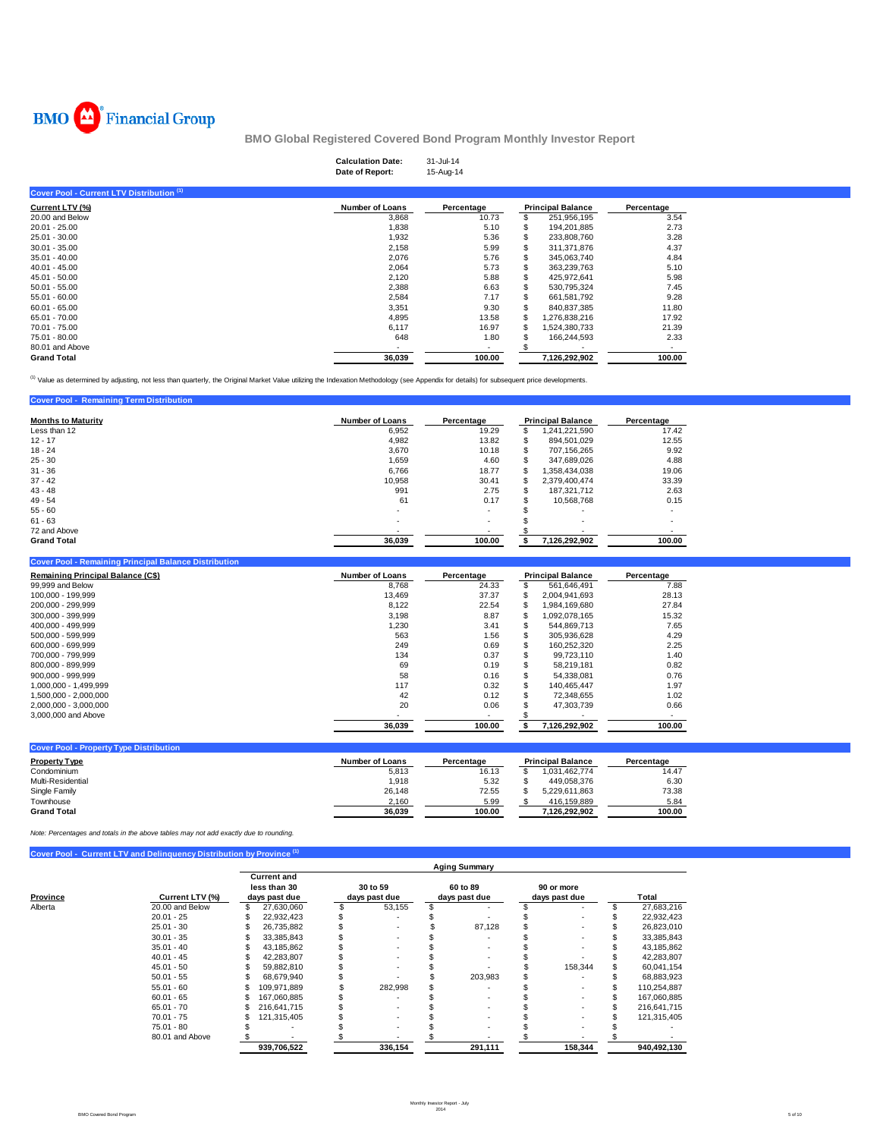

|                                           | <b>Calculation Date:</b><br>Date of Report: | $31 - Jul - 14$<br>15-Aug-14 |                          |            |
|-------------------------------------------|---------------------------------------------|------------------------------|--------------------------|------------|
| Cover Pool - Current LTV Distribution (1) |                                             |                              |                          |            |
| Current LTV (%)                           | <b>Number of Loans</b>                      | Percentage                   | <b>Principal Balance</b> | Percentage |
| 20.00 and Below                           | 3,868                                       | 10.73                        | \$<br>251,956,195        | 3.54       |
| $20.01 - 25.00$                           | 1,838                                       | 5.10                         | 194.201.885              | 2.73       |
| 25.01 - 30.00                             | 1,932                                       | 5.36                         | 233,808,760              | 3.28       |
| $30.01 - 35.00$                           | 2,158                                       | 5.99                         | 311,371,876              | 4.37       |
| $35.01 - 40.00$                           | 2,076                                       | 5.76                         | 345,063,740              | 4.84       |
| $40.01 - 45.00$                           | 2,064                                       | 5.73                         | 363.239.763              | 5.10       |
| $45.01 - 50.00$                           | 2,120                                       | 5.88                         | 425,972,641              | 5.98       |
| $50.01 - 55.00$                           | 2,388                                       | 6.63                         | 530,795,324              | 7.45       |
| 55.01 - 60.00                             | 2,584                                       | 7.17                         | 661,581,792              | 9.28       |
| $60.01 - 65.00$                           | 3,351                                       | 9.30                         | 840,837,385              | 11.80      |
| 65.01 - 70.00                             | 4,895                                       | 13.58                        | 1,276,838,216            | 17.92      |
| 70.01 - 75.00                             | 6,117                                       | 16.97                        | 524,380,733              | 21.39      |
| 75.01 - 80.00                             | 648                                         | 1.80                         | 166,244,593              | 2.33       |
| 80.01 and Above                           |                                             |                              |                          |            |
| <b>Grand Total</b>                        | 36,039                                      | 100.00                       | 7,126,292,902            | 100.00     |

<sup>(1)</sup> Value as determined by adjusting, not less than quarterly, the Original Market Value utilizing the Indexation Methodology (see Appendix for details) for subsequent price developments.

| <b>Cover Pool - Remaining Term Distribution</b> |                          |                          |    |                          |            |
|-------------------------------------------------|--------------------------|--------------------------|----|--------------------------|------------|
| <b>Months to Maturity</b>                       | <b>Number of Loans</b>   | Percentage               |    | <b>Principal Balance</b> | Percentage |
| Less than 12                                    | 6.952                    | 19.29                    | \$ | 241,221,590              | 17.42      |
| $12 - 17$                                       | 4,982                    | 13.82                    | S  | 894.501.029              | 12.55      |
| $18 - 24$                                       | 3.670                    | 10.18                    | S  | 707.156.265              | 9.92       |
| $25 - 30$                                       | 1,659                    | 4.60                     | S  | 347,689,026              | 4.88       |
| $31 - 36$                                       | 6.766                    | 18.77                    | \$ | 358.434.038              | 19.06      |
| $37 - 42$                                       | 10.958                   | 30.41                    | \$ | 2,379,400,474            | 33.39      |
| $43 - 48$                                       | 991                      | 2.75                     | S  | 187.321.712              | 2.63       |
| $49 - 54$                                       | 61                       | 0.17                     | \$ | 10.568.768               | 0.15       |
| $55 - 60$                                       | ۰.                       | ٠                        | æ. |                          |            |
| $61 - 63$                                       | $\overline{\phantom{a}}$ | $\overline{\phantom{a}}$ |    |                          |            |
| 72 and Above                                    |                          | $\overline{\phantom{a}}$ |    |                          |            |
| <b>Grand Total</b>                              | 36.039                   | 100.00                   | s  | 7,126,292,902            | 100.00     |

**Cover Pool - Remaining Principal Balance Distril** 

| Remaining Principal Balance (C\$) | <b>Number of Loans</b> | Percentage |     | <b>Principal Balance</b> | Percentage |
|-----------------------------------|------------------------|------------|-----|--------------------------|------------|
| 99,999 and Below                  | 8.768                  | 24.33      | эħ. | 561.646.491              | 7.88       |
| 100.000 - 199.999                 | 13.469                 | 37.37      | ж   | 2,004,941,693            | 28.13      |
| 200.000 - 299.999                 | 8,122                  | 22.54      |     | 1,984,169,680            | 27.84      |
| 300.000 - 399.999                 | 3,198                  | 8.87       | ъ   | 1.092.078.165            | 15.32      |
| 400.000 - 499.999                 | 1,230                  | 3.41       |     | 544.869.713              | 7.65       |
| 500.000 - 599.999                 | 563                    | 1.56       |     | 305.936.628              | 4.29       |
| 600.000 - 699.999                 | 249                    | 0.69       | ъ   | 160.252.320              | 2.25       |
| 700.000 - 799.999                 | 134                    | 0.37       |     | 99,723,110               | 1.40       |
| 800.000 - 899.999                 | 69                     | 0.19       |     | 58.219.181               | 0.82       |
| $900.000 - 999.999$               | 58                     | 0.16       |     | 54.338.081               | 0.76       |
| 1.000.000 - 1.499.999             | 117                    | 0.32       |     | 140.465.447              | 1.97       |
| 1,500,000 - 2,000,000             | 42                     | 0.12       |     | 72.348.655               | 1.02       |
| 2,000,000 - 3,000,000             | 20                     | 0.06       |     | 47.303.739               | 0.66       |
| 3,000,000 and Above               |                        | $\sim$     |     |                          |            |
|                                   | 36.039                 | 100.00     |     | 7.126.292.902            | 100.00     |

| <b>Cover Pool - Property Type Distribution</b> |                 |            |  |                          |            |
|------------------------------------------------|-----------------|------------|--|--------------------------|------------|
| <b>Property Type</b>                           | Number of Loans | Percentage |  | <b>Principal Balance</b> | Percentage |
| Condominium                                    | 5,813           | 16.13      |  | 031.462.774              | 14.47      |
| Multi-Residential                              | 1.918           | 5.32       |  | 449.058.376              | 6.30       |
| Single Family                                  | 26.148          | 72.55      |  | 5.229.611.863            | 73.38      |
| Townhouse                                      | 2,160           | 5.99       |  | 416.159.889              | 5.84       |
| <b>Grand Total</b>                             | 36.039          | 100.00     |  | 7.126.292.902            | 100.00     |

*Note: Percentages and totals in the above tables may not add exactly due to rounding.*

**Cover Pool - Current LTV and Delinquency Distribution by Province (1)** 

| Current LTV (%) | <b>Current and</b><br>less than 30 |             | 30 to 59      |         |               |         |                                                   |         |                             | Total       |  |  |
|-----------------|------------------------------------|-------------|---------------|---------|---------------|---------|---------------------------------------------------|---------|-----------------------------|-------------|--|--|
| 20.00 and Below | \$                                 | 27,630,060  |               | 53,155  | \$            |         |                                                   | ۰       |                             | 27,683,216  |  |  |
| $20.01 - 25$    |                                    | 22,932,423  |               |         |               |         |                                                   | ۰       |                             | 22,932,423  |  |  |
| $25.01 - 30$    |                                    | 26,735,882  |               |         |               | 87,128  |                                                   | ۰       |                             | 26,823,010  |  |  |
| $30.01 - 35$    |                                    | 33,385,843  |               |         |               |         |                                                   |         |                             | 33,385,843  |  |  |
| $35.01 - 40$    |                                    | 43,185,862  |               |         |               |         |                                                   |         |                             | 43,185,862  |  |  |
| $40.01 - 45$    |                                    | 42,283,807  |               |         |               |         |                                                   |         |                             | 42,283,807  |  |  |
| $45.01 - 50$    |                                    | 59,882,810  |               |         |               |         |                                                   | 158.344 |                             | 60,041,154  |  |  |
| $50.01 - 55$    |                                    | 68,679,940  |               |         |               | 203,983 |                                                   |         |                             | 68,883,923  |  |  |
| $55.01 - 60$    | S                                  | 109,971,889 |               | 282,998 |               |         |                                                   |         |                             | 110,254,887 |  |  |
| $60.01 - 65$    | S                                  | 167,060,885 |               |         |               |         |                                                   |         |                             | 167,060,885 |  |  |
| $65.01 - 70$    | \$                                 | 216.641.715 |               |         |               |         |                                                   |         |                             | 216.641.715 |  |  |
| $70.01 - 75$    |                                    | 121.315.405 |               |         |               |         |                                                   |         |                             | 121,315,405 |  |  |
| $75.01 - 80$    |                                    |             |               |         |               |         |                                                   |         |                             |             |  |  |
| 80.01 and Above |                                    |             |               |         |               |         |                                                   |         |                             |             |  |  |
|                 |                                    | 939.706.522 |               | 336,154 |               | 291,111 |                                                   | 158,344 |                             | 940.492.130 |  |  |
|                 |                                    |             | days past due |         | days past due |         | <b>Aging Summary</b><br>60 to 89<br>days past due |         | 90 or more<br>days past due |             |  |  |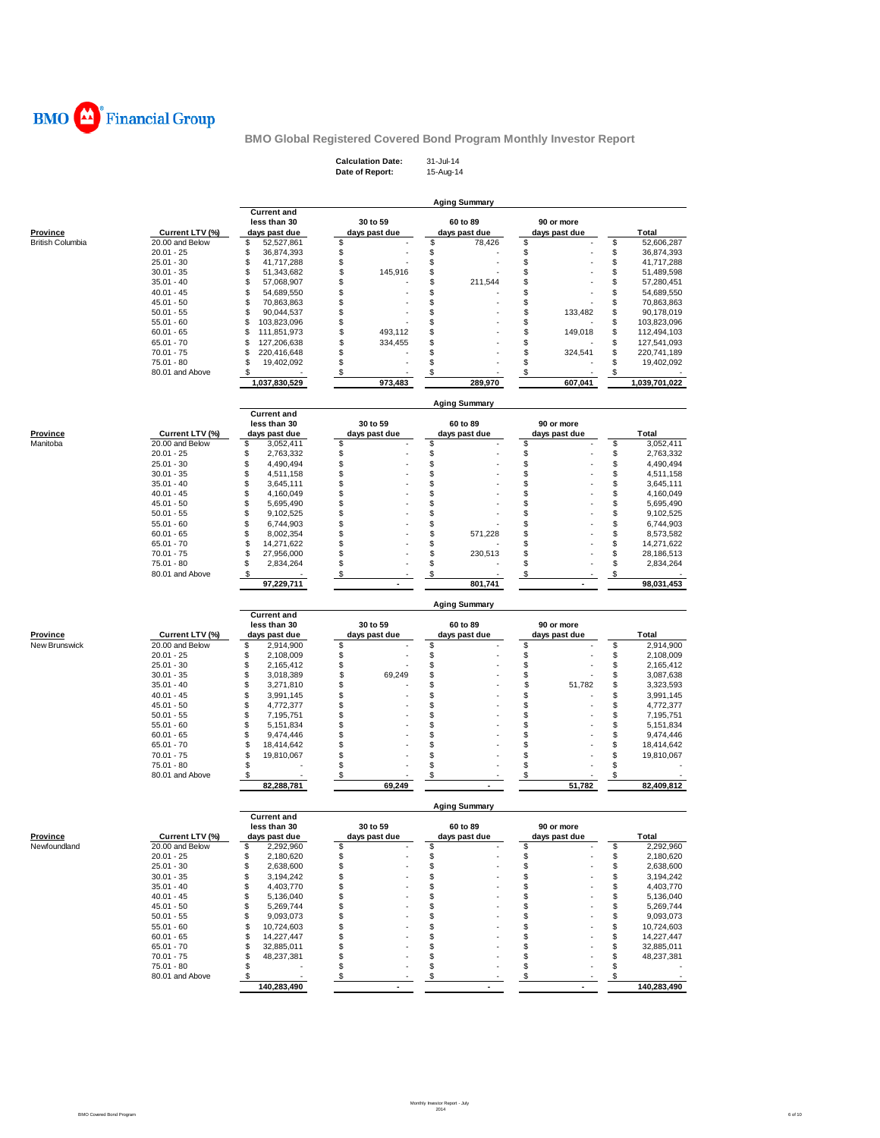

| <b>Calculation Date:</b> | 31-Jul-14 |
|--------------------------|-----------|
| Date of Report:          | 15-Aug-14 |

|                  |                 |                                                     |                           | <b>Aging Summary</b>      |                             |    |               |
|------------------|-----------------|-----------------------------------------------------|---------------------------|---------------------------|-----------------------------|----|---------------|
| <b>Province</b>  | Current LTV (%) | <b>Current and</b><br>less than 30<br>days past due | 30 to 59<br>days past due | 60 to 89<br>days past due | 90 or more<br>days past due |    | <b>Total</b>  |
| British Columbia | 20.00 and Below | \$<br>52,527,861                                    | \$                        | \$<br>78,426              | \$                          | \$ | 52,606,287    |
|                  | $20.01 - 25$    | \$<br>36,874,393                                    | \$                        | \$                        | \$                          | \$ | 36,874,393    |
|                  | 25.01 - 30      | \$<br>41,717,288                                    | \$                        | \$                        | \$                          | \$ | 41,717,288    |
|                  | $30.01 - 35$    | \$<br>51,343,682                                    | \$<br>145,916             | \$                        | \$                          | \$ | 51,489,598    |
|                  | $35.01 - 40$    | \$<br>57,068,907                                    | \$                        | \$<br>211,544             | \$                          | \$ | 57,280,451    |
|                  | $40.01 - 45$    | \$<br>54,689,550                                    | \$                        | \$                        | \$                          | \$ | 54,689,550    |
|                  | $45.01 - 50$    | \$<br>70,863,863                                    | \$                        | \$                        | \$                          | \$ | 70,863,863    |
|                  | $50.01 - 55$    | \$<br>90,044,537                                    | \$                        | \$                        | \$<br>133,482               | \$ | 90,178,019    |
|                  | $55.01 - 60$    | \$<br>103,823,096                                   | \$                        | \$                        | \$                          | \$ | 103,823,096   |
|                  | $60.01 - 65$    | \$<br>111,851,973                                   | \$<br>493,112             | \$                        | \$<br>149,018               | \$ | 112,494,103   |
|                  | $65.01 - 70$    | \$<br>127,206,638                                   | \$<br>334,455             | \$                        | \$                          | \$ | 127,541,093   |
|                  | 70.01 - 75      | \$<br>220,416,648                                   | \$                        | \$                        | \$<br>324,541               | \$ | 220,741,189   |
|                  | 75.01 - 80      | \$<br>19,402,092                                    | \$                        | \$                        | \$                          | \$ | 19,402,092    |
|                  | 80.01 and Above | S                                                   | \$                        | \$                        | \$                          | \$ |               |
|                  |                 | 1,037,830,529                                       | 973,483                   | 289,970                   | 607,041                     |    | 1,039,701,022 |
|                  |                 |                                                     |                           | <b>Aging Summary</b>      |                             |    |               |
|                  |                 | <b>Current and</b><br>less than 30                  | 30 to 59                  | 60 to 89                  | 90 or more                  |    |               |
| <u>Province</u>  | Current LTV (%) | days past due                                       | days past due             | days past due             | days past due               |    | <b>Total</b>  |
| Manitoba         | 20.00 and Below | \$<br>3,052,411                                     | \$                        | \$                        | \$                          | \$ | 3,052,411     |
|                  | $20.01 - 25$    | \$<br>2,763,332                                     | \$                        | $\dot{\$}$                | \$                          | \$ | 2,763,332     |
|                  | 25.01 - 30      | \$<br>4,490,494                                     | \$                        | \$                        | \$                          | \$ | 4,490,494     |
|                  | $30.01 - 35$    | \$<br>4,511,158                                     | \$                        | $\ddot{\$}$               | \$                          | \$ | 4,511,158     |
|                  | $35.01 - 40$    | \$<br>3,645,111                                     | \$                        | \$                        | S                           | \$ | 3,645,111     |
|                  | $40.01 - 45$    | \$<br>4,160,049                                     | \$                        | \$                        | S                           | \$ | 4,160,049     |
|                  | $45.01 - 50$    | \$<br>5,695,490                                     | \$                        | \$                        | \$                          | \$ | 5,695,490     |
|                  | $50.01 - 55$    | \$<br>9,102,525                                     | \$                        | \$                        | \$                          | \$ | 9,102,525     |
|                  | $55.01 - 60$    | \$<br>6,744,903                                     | \$                        | \$                        | S                           | \$ | 6,744,903     |
|                  | $60.01 - 65$    | \$<br>8,002,354                                     | \$                        | \$<br>571,228             | \$                          | \$ | 8,573,582     |
|                  | 65.01 - 70      | \$<br>14,271,622                                    | \$                        | \$                        | \$                          | \$ | 14,271,622    |
|                  | 70.01 - 75      | \$<br>27,956,000                                    | \$                        | \$<br>230,513             | S                           | \$ | 28,186,513    |
|                  | 75.01 - 80      | \$<br>2,834,264                                     | \$                        | \$                        | \$                          | \$ | 2,834,264     |
|                  | 80.01 and Above | \$                                                  | \$                        | \$                        | \$                          | \$ |               |
|                  |                 | 97,229,711                                          |                           | 801,741                   |                             |    | 98,031,453    |
|                  |                 |                                                     |                           | <b>Aging Summary</b>      |                             |    |               |
|                  |                 | <b>Current and</b><br>less than 30                  | 30 to 59                  | 60 to 89                  | 90 or more                  |    |               |
| <u>Province</u>  | Current LTV (%) | days past due                                       | days past due             | days past due             | days past due               |    | <b>Total</b>  |
| New Brunswick    | 20.00 and Below | \$<br>2,914,900                                     | \$                        | \$                        | \$                          | \$ | 2,914,900     |
|                  | $20.01 - 25$    | \$<br>2,108,009                                     | \$                        | \$                        | \$                          | \$ | 2,108,009     |
|                  | 25.01 - 30      | \$<br>2,165,412                                     | \$                        | \$                        | \$                          | \$ | 2,165,412     |
|                  | $30.01 - 35$    | \$<br>3,018,389                                     | \$<br>69,249              | \$                        | \$                          | \$ | 3,087,638     |
|                  | $35.01 - 40$    | \$<br>3,271,810                                     | \$                        | \$                        | \$<br>51,782                | \$ | 3,323,593     |
|                  | $40.01 - 45$    | \$<br>3,991,145                                     | \$                        | \$                        | \$                          | \$ | 3,991,145     |
|                  | $45.01 - 50$    | \$<br>4,772,377                                     | \$                        | \$                        | \$                          | \$ | 4,772,377     |
|                  | $50.01 - 55$    | \$<br>7,195,751                                     | \$                        | \$                        | \$                          | \$ | 7,195,751     |
|                  | $55.01 - 60$    | \$<br>5,151,834                                     | \$                        | \$                        | \$                          | \$ | 5,151,834     |
|                  | $60.01 - 65$    | \$<br>9,474,446                                     | \$                        | \$                        | \$                          | \$ | 9,474,446     |
|                  | $65.01 - 70$    | \$<br>18,414,642                                    | \$                        | \$                        | \$                          | \$ | 18,414,642    |
|                  | $70.01 - 75$    | \$<br>19,810,067                                    | \$                        | \$                        | \$                          | \$ | 19,810,067    |
|                  | 75.01 - 80      | \$                                                  | \$                        | \$                        | \$                          | \$ |               |
|                  | 80.01 and Above | \$                                                  | \$                        | \$                        | \$                          | \$ |               |
|                  |                 | 82,288,781                                          | 69,249                    |                           | 51,782                      |    | 82,409,812    |
|                  |                 |                                                     |                           | <b>Aging Summary</b>      |                             |    |               |
|                  |                 | <b>Current and</b>                                  |                           |                           |                             |    |               |
|                  |                 | less than 30                                        | 30 to 59                  | 60 to 89                  | 90 or more                  |    |               |
| <u>Province</u>  | Current LTV (%) | days past due                                       | days past due             | days past due             | days past due               |    | <b>Total</b>  |
| Newfoundland     | 20.00 and Below | \$<br>2,292,960                                     | \$                        | \$                        | \$                          | \$ | 2,292,960     |
|                  | $20.01 - 25$    | \$<br>2,180,620                                     | \$                        | \$                        | \$                          | \$ | 2,180,620     |
|                  | $25.01 - 30$    | \$<br>2,638,600                                     | \$                        | \$                        | \$                          | \$ | 2,638,600     |
|                  | $30.01 - 35$    | \$<br>3,194,242                                     | \$                        | \$                        | \$                          | \$ | 3,194,242     |
|                  | $35.01 - 40$    | \$<br>4,403,770                                     | \$                        | \$                        | S                           | \$ | 4,403,770     |
|                  | $40.01 - 45$    | \$<br>5,136,040                                     | \$                        | \$                        | \$                          | \$ | 5,136,040     |
|                  | $45.01 - 50$    | \$<br>5,269,744                                     | \$                        | \$                        | S                           | \$ | 5,269,744     |
|                  | $50.01 - 55$    | 9,093,073<br>\$                                     | \$                        | \$                        | \$                          | \$ | 9,093,073     |
|                  | $55.01 - 60$    | 10,724,603<br>\$                                    | \$                        | \$                        |                             | S  | 10,724,603    |

<u> $\frac{\$}{\$}$  **140,283,490 120,283,490 140,283,490 140,283,490**</u>

60.01 - 65 14,227,447 \$ - \$ - \$ - \$ 14,227,447 \$ 65.01 - 70 32,885,011 \$ - \$ - \$ - \$ 32,885,011 \$ 70.01 - 75 48,237,381 \$ - \$ - \$ - \$ 48,237,381 \$ 75.01 - 80 - \$ - \$ - \$ - \$ - \$ 80.01 and Above - \$ - \$ - \$ - \$ - \$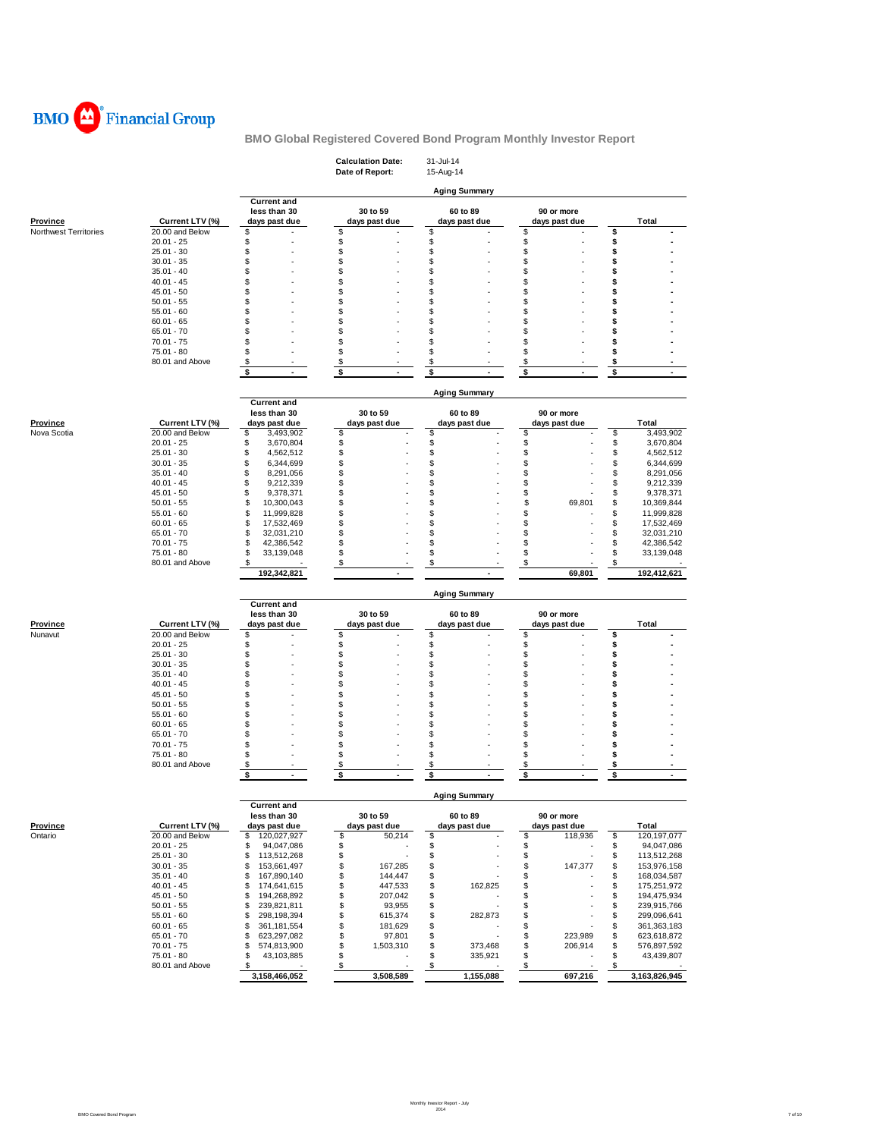

|                                   |                                    |                                    | <b>Calculation Date:</b><br>Date of Report: | 31-Jul-14<br>15-Aug-14         |                                           |                                        |
|-----------------------------------|------------------------------------|------------------------------------|---------------------------------------------|--------------------------------|-------------------------------------------|----------------------------------------|
|                                   |                                    |                                    |                                             | <b>Aging Summary</b>           |                                           |                                        |
|                                   |                                    | <b>Current and</b>                 |                                             |                                |                                           |                                        |
|                                   |                                    | less than 30                       | 30 to 59                                    | 60 to 89                       | 90 or more                                |                                        |
| Province<br>Northwest Territories | Current LTV (%)<br>20.00 and Below | days past due<br>S                 | days past due<br>\$                         | days past due<br>\$            | days past due<br>\$                       | <b>Total</b><br>\$                     |
|                                   | $20.01 - 25$                       | S                                  | \$                                          | \$                             | \$                                        | \$                                     |
|                                   | $25.01 - 30$                       | S                                  | \$                                          | \$                             | \$                                        | \$                                     |
|                                   | $30.01 - 35$                       | S                                  | \$                                          | \$                             | \$                                        | \$                                     |
|                                   | $35.01 - 40$                       | S                                  | \$                                          | \$                             | \$                                        | \$                                     |
|                                   | $40.01 - 45$                       | S                                  | \$                                          | \$                             | \$                                        | \$                                     |
|                                   | $45.01 - 50$                       | S                                  | \$                                          | \$                             | \$                                        | \$                                     |
|                                   | $50.01 - 55$                       | S                                  | \$                                          | \$                             | \$                                        | \$                                     |
|                                   | $55.01 - 60$                       | S                                  | \$                                          | \$                             | \$                                        | \$                                     |
|                                   | $60.01 - 65$                       | \$                                 | \$                                          | \$                             | \$                                        | \$                                     |
|                                   | $65.01 - 70$                       | \$                                 | \$                                          | \$                             | \$                                        | \$                                     |
|                                   | $70.01 - 75$                       | S                                  | \$                                          | \$                             | \$                                        | \$                                     |
|                                   | 75.01 - 80                         | \$                                 | \$                                          | \$                             | \$                                        | \$                                     |
|                                   | 80.01 and Above                    | \$                                 | $\boldsymbol{\mathsf{s}}$                   | \$                             | \$                                        | \$                                     |
|                                   |                                    | \$<br>ä,                           | \$                                          | \$                             | \$<br>ä,                                  | \$                                     |
|                                   |                                    |                                    |                                             | <b>Aging Summary</b>           |                                           |                                        |
|                                   |                                    | <b>Current and</b>                 |                                             |                                |                                           |                                        |
|                                   |                                    | less than 30                       | 30 to 59                                    | 60 to 89                       | 90 or more                                |                                        |
| Province                          | Current LTV (%)                    | days past due                      | days past due                               | days past due                  | days past due                             | <b>Total</b>                           |
| Nova Scotia                       | 20.00 and Below                    | \$<br>3,493,902                    | \$                                          | \$                             | \$                                        | \$<br>3,493,902                        |
|                                   | $20.01 - 25$                       | \$<br>3,670,804                    | \$                                          | \$                             | \$                                        | \$<br>3,670,804                        |
|                                   | $25.01 - 30$<br>$30.01 - 35$       | \$<br>4,562,512                    | \$                                          | \$                             | \$                                        | \$<br>4,562,512                        |
|                                   |                                    | \$<br>6,344,699                    | \$                                          | \$<br>\$                       | \$<br>\$                                  | \$<br>6,344,699<br>\$                  |
|                                   | $35.01 - 40$<br>$40.01 - 45$       | \$<br>8,291,056<br>\$<br>9,212,339 | \$<br>\$                                    | \$                             | \$                                        | 8,291,056<br>\$<br>9,212,339           |
|                                   | 45.01 - 50                         | \$<br>9,378,371                    | \$                                          | \$                             | \$                                        | \$<br>9,378,371                        |
|                                   | $50.01 - 55$                       | \$<br>10,300,043                   | \$                                          | \$                             | \$<br>69,801                              | \$<br>10,369,844                       |
|                                   | $55.01 - 60$                       | \$<br>11,999,828                   | S                                           | \$                             | \$                                        | \$<br>11,999,828                       |
|                                   | $60.01 - 65$                       | \$<br>17,532,469                   | \$                                          | \$                             | \$                                        | \$<br>17,532,469                       |
|                                   | $65.01 - 70$                       | \$<br>32,031,210                   | \$                                          | \$                             | \$                                        | \$<br>32,031,210                       |
|                                   | $70.01 - 75$                       | \$<br>42,386,542                   | \$                                          | \$                             | \$                                        | \$<br>42,386,542                       |
|                                   | 75.01 - 80                         | \$<br>33,139,048                   | \$                                          | \$                             | \$                                        | \$<br>33,139,048                       |
|                                   | 80.01 and Above                    | \$                                 | \$                                          | \$                             | \$                                        | \$                                     |
|                                   |                                    | 192,342,821                        | $\blacksquare$                              |                                | 69,801                                    | 192,412,621                            |
|                                   |                                    |                                    |                                             | <b>Aging Summary</b>           |                                           |                                        |
|                                   |                                    |                                    |                                             |                                |                                           |                                        |
|                                   |                                    | <b>Current and</b>                 |                                             |                                |                                           |                                        |
|                                   |                                    | less than 30                       | 30 to 59                                    | 60 to 89                       | 90 or more                                |                                        |
|                                   | Current LTV (%)                    | days past due                      | days past due                               | days past due                  | days past due                             | Total                                  |
|                                   | 20.00 and Below                    | S                                  | \$                                          | \$                             | \$                                        | \$                                     |
|                                   | $20.01 - 25$                       | \$                                 | \$                                          | \$                             | \$                                        | \$                                     |
|                                   | $25.01 - 30$                       | S                                  | \$                                          | \$                             | \$                                        | \$                                     |
|                                   | $30.01 - 35$                       | S                                  | \$                                          | \$                             | \$                                        | \$                                     |
|                                   | $35.01 - 40$                       | \$                                 | \$                                          | \$                             | \$                                        | \$                                     |
|                                   | $40.01 - 45$                       | S                                  | \$                                          | \$                             | \$                                        | \$                                     |
|                                   | 45.01 - 50                         | S                                  | \$                                          | \$                             | \$                                        | \$                                     |
|                                   | $50.01 - 55$                       | \$                                 | \$                                          | \$                             | \$                                        | \$                                     |
|                                   | $55.01 - 60$                       | S                                  | \$                                          | \$                             | \$                                        | \$                                     |
|                                   | $60.01 - 65$                       | S                                  | \$                                          | \$                             | \$                                        | \$                                     |
|                                   | $65.01 - 70$                       | S<br>\$                            | \$                                          | \$                             | \$                                        | \$                                     |
|                                   | $70.01 - 75$                       | \$                                 | \$                                          | \$                             | \$                                        | \$                                     |
|                                   | 75.01 - 80<br>80.01 and Above      | \$                                 | \$                                          | \$<br>\$                       | \$<br>\$                                  | \$<br>\$                               |
|                                   |                                    | \$<br>$\overline{\phantom{a}}$     | \$<br>\$<br>$\overline{a}$                  | \$<br>$\overline{\phantom{a}}$ | \$<br>$\overline{a}$                      | \$<br>$\blacksquare$                   |
| <b>Province</b><br>Nunavut        |                                    |                                    |                                             |                                |                                           |                                        |
|                                   |                                    | <b>Current and</b>                 |                                             | <b>Aging Summary</b>           |                                           |                                        |
|                                   |                                    | less than 30                       | 30 to 59                                    | 60 to 89                       | 90 or more                                |                                        |
|                                   | Current LTV (%)                    | days past due                      | days past due                               | days past due                  | days past due                             | Total                                  |
|                                   | 20.00 and Below                    | \$<br>120,027,927                  | \$<br>50,214                                | \$                             | \$<br>118,936                             | $\mathbb{S}$<br>120,197,077            |
|                                   | $20.01 - 25$                       | \$<br>94,047,086                   | \$                                          | \$                             | \$                                        | \$<br>94,047,086                       |
|                                   | $25.01 - 30$                       | \$<br>113,512,268                  | \$                                          | \$                             | \$                                        | \$<br>113,512,268                      |
|                                   | $30.01 - 35$                       | \$<br>153,661,497                  | \$<br>167,285                               | \$                             | \$<br>147,377                             | \$<br>153,976,158                      |
|                                   | $35.01 - 40$                       | 167,890,140<br>\$                  | \$<br>144,447                               | \$                             | \$                                        | \$<br>168,034,587                      |
|                                   | $40.01 - 45$                       | 174,641,615<br>\$                  | \$<br>447,533                               | \$<br>162,825                  | \$                                        | \$<br>175,251,972                      |
|                                   | $45.01 - 50$                       | \$<br>194,268,892                  | \$<br>207,042                               | \$                             | \$                                        | \$<br>194,475,934                      |
|                                   | $50.01 - 55$                       | \$<br>239,821,811                  | \$<br>93,955                                | \$                             | \$                                        | \$<br>239,915,766                      |
|                                   | $55.01 - 60$                       | 298,198,394<br>\$                  | \$<br>615,374                               | \$<br>282,873                  | \$                                        | \$<br>299,096,641                      |
| Province<br>Ontario               | $60.01 - 65$                       | \$<br>361,181,554<br>\$            | \$<br>181,629                               | \$                             | \$<br>223,989                             | \$<br>361,363,183                      |
|                                   | $65.01 - 70$<br>$70.01 - 75$       | 623,297,082<br>\$<br>574,813,900   | \$<br>97,801<br>\$<br>1,503,310             | \$<br>\$<br>373,468            | \$<br>\$<br>206,914                       | \$<br>623,618,872<br>\$<br>576,897,592 |
|                                   | 75.01 - 80                         | \$<br>43,103,885                   | \$                                          | \$<br>335,921                  | \$                                        | \$<br>43,439,807                       |
|                                   | 80.01 and Above                    | \$<br>3,158,466,052                | \$<br>3,508,589                             | \$<br>1,155,088                | \$<br>$\overline{\phantom{a}}$<br>697,216 | \$<br>3,163,826,945                    |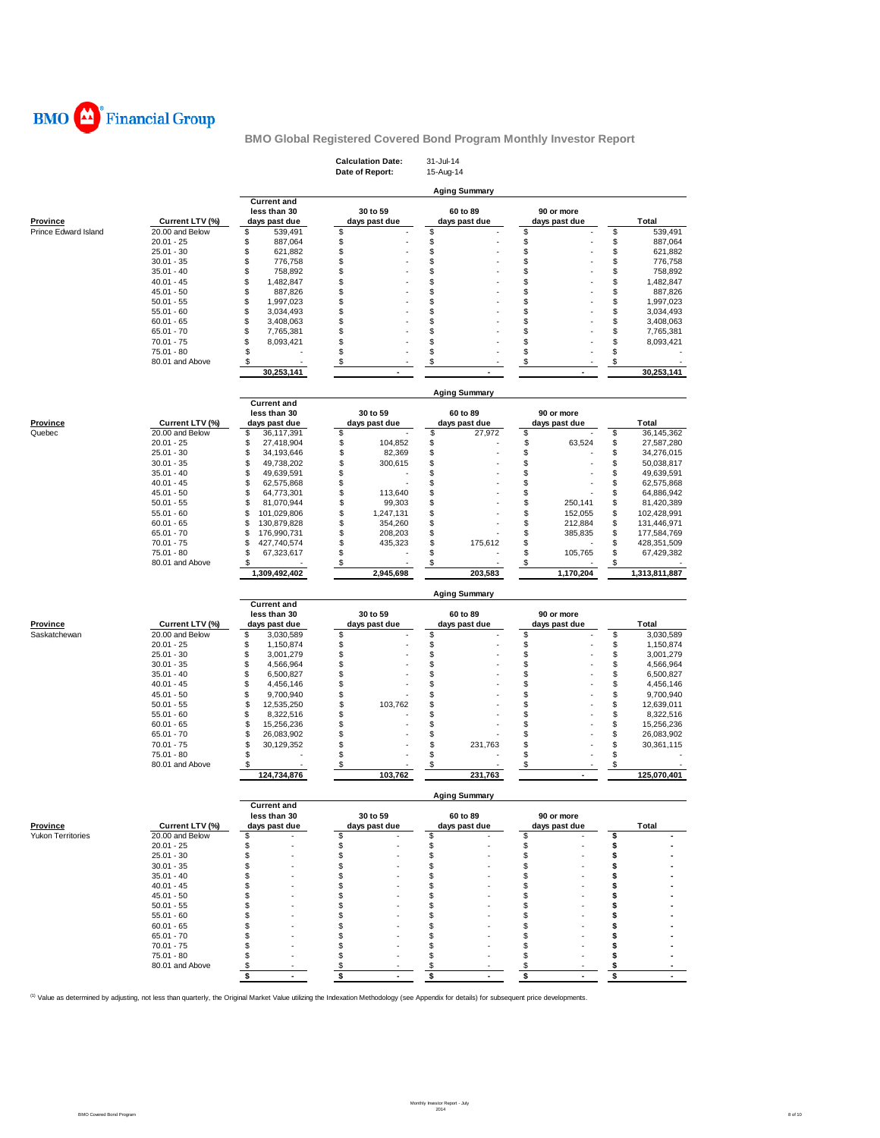

| <b>Aging Summary</b><br><b>Current and</b><br>90 or more<br>less than 30<br>30 to 59<br>60 to 89<br>Current LTV (%)<br>days past due<br>days past due<br>days past due<br>days past due<br>Total<br><b>Province</b><br>\$<br>Prince Edward Island<br>20.00 and Below<br>\$<br>539,491<br>\$<br>\$<br>\$<br>539.491<br>\$<br>\$<br>\$<br>\$<br>$20.01 - 25$<br>\$<br>887,064<br>887,064<br>\$<br>\$<br>\$<br>$25.01 - 30$<br>\$<br>621.882<br>\$<br>621,882<br>\$<br>\$<br>\$<br>\$<br>\$<br>$30.01 - 35$<br>776.758<br>776,758<br>\$<br>$35.01 - 40$<br>\$<br>758,892<br>\$<br>\$<br>\$<br>758,892<br>\$<br>$40.01 - 45$<br>\$<br>1,482,847<br>\$<br>\$<br>\$<br>1,482,847<br>\$<br>\$<br>\$<br>\$<br>\$<br>$45.01 - 50$<br>887,826<br>887,826<br>\$<br>$50.01 - 55$<br>\$<br>1,997,023<br>\$<br>\$<br>\$<br>1,997,023<br>\$<br>\$<br>$55.01 - 60$<br>3,034,493<br>\$<br>\$<br>\$<br>3,034,493<br>\$<br>\$<br>\$<br>\$<br>\$<br>$60.01 - 65$<br>3,408,063<br>3,408,063<br>\$<br>\$<br>$65.01 - 70$<br>\$<br>7,765,381<br>\$<br>\$<br>7,765,381<br>\$<br>\$<br>\$<br>$70.01 - 75$<br>\$<br>\$<br>8,093,421<br>8,093,421<br>\$<br>\$<br>\$<br>\$<br>\$<br>$75.01 - 80$<br>\$<br>\$<br>\$<br>\$<br>\$<br>80.01 and Above<br>30,253,141<br>30,253,141<br><b>Aging Summary</b><br><b>Current and</b><br>less than 30<br>30 to 59<br>60 to 89<br>90 or more<br>Current LTV (%)<br>days past due<br><b>Total</b><br><b>Province</b><br>days past due<br>days past due<br>days past due<br>\$<br>\$<br>\$<br>20.00 and Below<br>\$<br>36,117,391<br>27,972<br>\$<br>36,145,362<br>Quebec<br>\$<br>\$<br>$20.01 - 25$<br>\$<br>27,418,904<br>\$<br>104,852<br>63,524<br>\$<br>27,587,280<br>$25.01 - 30$<br>\$<br>\$<br>\$<br>\$<br>\$<br>82,369<br>34,193,646<br>34,276,015<br>\$<br>\$<br>\$<br>\$<br>$30.01 - 35$<br>\$<br>49,738,202<br>300,615<br>50,038,817<br>\$<br>\$<br>\$<br>\$<br>\$<br>$35.01 - 40$<br>49,639,591<br>49,639,591<br>\$<br>\$<br>\$<br>\$<br>\$<br>$40.01 - 45$<br>62,575,868<br>62,575,868<br>\$<br>$45.01 - 50$<br>\$<br>113,640<br>\$<br>\$<br>\$<br>64,773,301<br>64,886,942<br>\$<br>\$<br>\$<br>\$<br>\$<br>99,303<br>$50.01 - 55$<br>81,070,944<br>250.141<br>81.420.389<br>\$<br>\$<br>$55.01 - 60$<br>\$<br>1,247,131<br>\$<br>152,055<br>\$<br>101,029,806<br>102,428,991<br>\$<br>\$<br>\$<br>354,260<br>\$<br>212,884<br>\$<br>$60.01 - 65$<br>130,879,828<br>131,446,971<br>\$<br>\$<br>\$<br>\$<br>S<br>$65.01 - 70$<br>176,990,731<br>208,203<br>385,835<br>177,584,769<br>\$<br>\$<br>$70.01 - 75$<br>435,323<br>175,612<br>\$<br>\$<br>\$<br>427,740,574<br>428,351,509<br>\$<br>\$<br>$75.01 - 80$<br>\$<br>\$<br>\$<br>67,429,382<br>67,323,617<br>105,765<br>\$<br>\$<br>\$<br>\$<br>\$<br>80.01 and Above<br>203,583<br>1,309,492,402<br>2,945,698<br>1,170,204<br>1,313,811,887<br><b>Aging Summary</b><br><b>Current and</b><br>30 to 59<br>less than 30<br>60 to 89<br>90 or more<br>Province<br>Current LTV (%)<br>days past due<br><b>Total</b><br>days past due<br>days past due<br>days past due<br>20.00 and Below<br>\$<br>\$<br>\$<br>\$<br>\$<br>3,030,589<br>Saskatchewan<br>3,030,589<br>\$<br>\$<br>\$<br>\$<br>$20.01 - 25$<br>\$<br>1,150,874<br>1,150,874<br>\$<br>\$<br>\$<br>\$<br>$25.01 - 30$<br>\$<br>3,001,279<br>3,001,279<br>\$<br>\$<br>\$<br>\$<br>\$<br>$30.01 - 35$<br>4,566,964<br>4,566,964<br>\$<br>\$<br>\$<br>\$<br>\$<br>$35.01 - 40$<br>6,500,827<br>6,500,827<br>\$<br>\$<br>\$<br>$40.01 - 45$<br>\$<br>4,456,146<br>\$<br>4,456,146<br>\$<br>\$<br>\$<br>$45.01 - 50$<br>\$<br>\$<br>9,700,940<br>9,700,940<br>\$<br>\$<br>\$<br>\$<br>$50.01 - 55$<br>\$<br>12,535,250<br>103,762<br>12,639,011<br>\$<br>\$<br>\$<br>\$<br>\$<br>$55.01 - 60$<br>8,322,516<br>8,322,516<br>\$<br>\$<br>\$<br>\$<br>\$<br>15,256,236<br>$60.01 - 65$<br>15,256,236<br>\$<br>$65.01 - 70$<br>\$<br>\$<br>\$<br>\$<br>26,083,902<br>26,083,902<br>\$<br>\$<br>\$<br>\$<br>\$<br>$70.01 - 75$<br>30,129,352<br>231,763<br>30,361,115<br>75.01 - 80<br>\$<br>\$<br>\$<br>\$<br>\$<br>80.01 and Above<br>\$<br>\$<br>\$<br>\$<br>\$<br>124,734,876<br>103,762<br>231,763<br>125,070,401<br><b>Aging Summary</b><br><b>Current and</b><br>60 to 89<br>less than 30<br>30 to 59<br>90 or more<br><b>Province</b><br>Current LTV (%)<br>days past due<br>days past due<br>days past due<br>days past due<br>Total<br><b>Yukon Territories</b><br>20.00 and Below<br>\$<br>\$<br>\$<br>\$<br>\$<br>\$<br>\$<br>$20.01 - 25$<br>\$<br>\$<br>\$<br>\$<br>\$<br>\$<br>\$<br>\$<br>$25.01 - 30$<br>\$<br>\$<br>$30.01 - 35$<br>\$<br>\$<br>\$<br>\$<br>\$<br>$35.01 - 40$<br>\$<br>\$<br>S<br>\$<br>\$<br>$40.01 - 45$<br>\$<br>\$<br>\$<br>\$<br>\$<br>$45.01 - 50$<br>\$<br>\$<br>\$<br>\$<br>\$<br>$50.01 - 55$<br>\$<br>S<br>S<br>\$<br>\$<br>\$<br>$55.01 - 60$<br>\$<br>S<br>\$<br>\$<br>$60.01 - 65$<br>\$<br>\$<br>\$<br>\$<br>$65.01 - 70$<br>S<br>\$<br>s<br>$70.01 - 75$<br>\$<br>\$<br>\$<br>\$<br>\$<br>\$<br>\$<br>75.01 - 80<br>S<br>\$<br>S<br>\$<br>\$<br>80.01 and Above<br>\$<br>\$<br>\$<br>\$<br>\$<br>\$<br>\$<br>\$<br>$\blacksquare$<br>$\blacksquare$<br>$\overline{\phantom{a}}$<br>$\overline{\phantom{a}}$<br>$\overline{\phantom{0}}$ |  | <b>Calculation Date:</b><br>Date of Report: | 31-Jul-14<br>15-Aug-14 |  |
|--------------------------------------------------------------------------------------------------------------------------------------------------------------------------------------------------------------------------------------------------------------------------------------------------------------------------------------------------------------------------------------------------------------------------------------------------------------------------------------------------------------------------------------------------------------------------------------------------------------------------------------------------------------------------------------------------------------------------------------------------------------------------------------------------------------------------------------------------------------------------------------------------------------------------------------------------------------------------------------------------------------------------------------------------------------------------------------------------------------------------------------------------------------------------------------------------------------------------------------------------------------------------------------------------------------------------------------------------------------------------------------------------------------------------------------------------------------------------------------------------------------------------------------------------------------------------------------------------------------------------------------------------------------------------------------------------------------------------------------------------------------------------------------------------------------------------------------------------------------------------------------------------------------------------------------------------------------------------------------------------------------------------------------------------------------------------------------------------------------------------------------------------------------------------------------------------------------------------------------------------------------------------------------------------------------------------------------------------------------------------------------------------------------------------------------------------------------------------------------------------------------------------------------------------------------------------------------------------------------------------------------------------------------------------------------------------------------------------------------------------------------------------------------------------------------------------------------------------------------------------------------------------------------------------------------------------------------------------------------------------------------------------------------------------------------------------------------------------------------------------------------------------------------------------------------------------------------------------------------------------------------------------------------------------------------------------------------------------------------------------------------------------------------------------------------------------------------------------------------------------------------------------------------------------------------------------------------------------------------------------------------------------------------------------------------------------------------------------------------------------------------------------------------------------------------------------------------------------------------------------------------------------------------------------------------------------------------------------------------------------------------------------------------------------------------------------------------------------------------------------------------------------------------------------------------------------------------------------------------------------------------------------------------------------------------------------------------------------------------------------------------------------------------------------------------------------------------------------------------------------------------------------------------------------------------------------------------------------------------------------------------------------------------------------------------------------------------------------------------------------------------------------------------------------------------------------------------------------------------------------------------------------------------------------------------------------------------------------------------------------------------------------------------------------------------------------------------------------------------------------------------------------------------------------------------------------------------------|--|---------------------------------------------|------------------------|--|
|                                                                                                                                                                                                                                                                                                                                                                                                                                                                                                                                                                                                                                                                                                                                                                                                                                                                                                                                                                                                                                                                                                                                                                                                                                                                                                                                                                                                                                                                                                                                                                                                                                                                                                                                                                                                                                                                                                                                                                                                                                                                                                                                                                                                                                                                                                                                                                                                                                                                                                                                                                                                                                                                                                                                                                                                                                                                                                                                                                                                                                                                                                                                                                                                                                                                                                                                                                                                                                                                                                                                                                                                                                                                                                                                                                                                                                                                                                                                                                                                                                                                                                                                                                                                                                                                                                                                                                                                                                                                                                                                                                                                                                                                                                                                                                                                                                                                                                                                                                                                                                                                                                                                                                                                                    |  |                                             |                        |  |
|                                                                                                                                                                                                                                                                                                                                                                                                                                                                                                                                                                                                                                                                                                                                                                                                                                                                                                                                                                                                                                                                                                                                                                                                                                                                                                                                                                                                                                                                                                                                                                                                                                                                                                                                                                                                                                                                                                                                                                                                                                                                                                                                                                                                                                                                                                                                                                                                                                                                                                                                                                                                                                                                                                                                                                                                                                                                                                                                                                                                                                                                                                                                                                                                                                                                                                                                                                                                                                                                                                                                                                                                                                                                                                                                                                                                                                                                                                                                                                                                                                                                                                                                                                                                                                                                                                                                                                                                                                                                                                                                                                                                                                                                                                                                                                                                                                                                                                                                                                                                                                                                                                                                                                                                                    |  |                                             |                        |  |
|                                                                                                                                                                                                                                                                                                                                                                                                                                                                                                                                                                                                                                                                                                                                                                                                                                                                                                                                                                                                                                                                                                                                                                                                                                                                                                                                                                                                                                                                                                                                                                                                                                                                                                                                                                                                                                                                                                                                                                                                                                                                                                                                                                                                                                                                                                                                                                                                                                                                                                                                                                                                                                                                                                                                                                                                                                                                                                                                                                                                                                                                                                                                                                                                                                                                                                                                                                                                                                                                                                                                                                                                                                                                                                                                                                                                                                                                                                                                                                                                                                                                                                                                                                                                                                                                                                                                                                                                                                                                                                                                                                                                                                                                                                                                                                                                                                                                                                                                                                                                                                                                                                                                                                                                                    |  |                                             |                        |  |
|                                                                                                                                                                                                                                                                                                                                                                                                                                                                                                                                                                                                                                                                                                                                                                                                                                                                                                                                                                                                                                                                                                                                                                                                                                                                                                                                                                                                                                                                                                                                                                                                                                                                                                                                                                                                                                                                                                                                                                                                                                                                                                                                                                                                                                                                                                                                                                                                                                                                                                                                                                                                                                                                                                                                                                                                                                                                                                                                                                                                                                                                                                                                                                                                                                                                                                                                                                                                                                                                                                                                                                                                                                                                                                                                                                                                                                                                                                                                                                                                                                                                                                                                                                                                                                                                                                                                                                                                                                                                                                                                                                                                                                                                                                                                                                                                                                                                                                                                                                                                                                                                                                                                                                                                                    |  |                                             |                        |  |
|                                                                                                                                                                                                                                                                                                                                                                                                                                                                                                                                                                                                                                                                                                                                                                                                                                                                                                                                                                                                                                                                                                                                                                                                                                                                                                                                                                                                                                                                                                                                                                                                                                                                                                                                                                                                                                                                                                                                                                                                                                                                                                                                                                                                                                                                                                                                                                                                                                                                                                                                                                                                                                                                                                                                                                                                                                                                                                                                                                                                                                                                                                                                                                                                                                                                                                                                                                                                                                                                                                                                                                                                                                                                                                                                                                                                                                                                                                                                                                                                                                                                                                                                                                                                                                                                                                                                                                                                                                                                                                                                                                                                                                                                                                                                                                                                                                                                                                                                                                                                                                                                                                                                                                                                                    |  |                                             |                        |  |
|                                                                                                                                                                                                                                                                                                                                                                                                                                                                                                                                                                                                                                                                                                                                                                                                                                                                                                                                                                                                                                                                                                                                                                                                                                                                                                                                                                                                                                                                                                                                                                                                                                                                                                                                                                                                                                                                                                                                                                                                                                                                                                                                                                                                                                                                                                                                                                                                                                                                                                                                                                                                                                                                                                                                                                                                                                                                                                                                                                                                                                                                                                                                                                                                                                                                                                                                                                                                                                                                                                                                                                                                                                                                                                                                                                                                                                                                                                                                                                                                                                                                                                                                                                                                                                                                                                                                                                                                                                                                                                                                                                                                                                                                                                                                                                                                                                                                                                                                                                                                                                                                                                                                                                                                                    |  |                                             |                        |  |
|                                                                                                                                                                                                                                                                                                                                                                                                                                                                                                                                                                                                                                                                                                                                                                                                                                                                                                                                                                                                                                                                                                                                                                                                                                                                                                                                                                                                                                                                                                                                                                                                                                                                                                                                                                                                                                                                                                                                                                                                                                                                                                                                                                                                                                                                                                                                                                                                                                                                                                                                                                                                                                                                                                                                                                                                                                                                                                                                                                                                                                                                                                                                                                                                                                                                                                                                                                                                                                                                                                                                                                                                                                                                                                                                                                                                                                                                                                                                                                                                                                                                                                                                                                                                                                                                                                                                                                                                                                                                                                                                                                                                                                                                                                                                                                                                                                                                                                                                                                                                                                                                                                                                                                                                                    |  |                                             |                        |  |
|                                                                                                                                                                                                                                                                                                                                                                                                                                                                                                                                                                                                                                                                                                                                                                                                                                                                                                                                                                                                                                                                                                                                                                                                                                                                                                                                                                                                                                                                                                                                                                                                                                                                                                                                                                                                                                                                                                                                                                                                                                                                                                                                                                                                                                                                                                                                                                                                                                                                                                                                                                                                                                                                                                                                                                                                                                                                                                                                                                                                                                                                                                                                                                                                                                                                                                                                                                                                                                                                                                                                                                                                                                                                                                                                                                                                                                                                                                                                                                                                                                                                                                                                                                                                                                                                                                                                                                                                                                                                                                                                                                                                                                                                                                                                                                                                                                                                                                                                                                                                                                                                                                                                                                                                                    |  |                                             |                        |  |
|                                                                                                                                                                                                                                                                                                                                                                                                                                                                                                                                                                                                                                                                                                                                                                                                                                                                                                                                                                                                                                                                                                                                                                                                                                                                                                                                                                                                                                                                                                                                                                                                                                                                                                                                                                                                                                                                                                                                                                                                                                                                                                                                                                                                                                                                                                                                                                                                                                                                                                                                                                                                                                                                                                                                                                                                                                                                                                                                                                                                                                                                                                                                                                                                                                                                                                                                                                                                                                                                                                                                                                                                                                                                                                                                                                                                                                                                                                                                                                                                                                                                                                                                                                                                                                                                                                                                                                                                                                                                                                                                                                                                                                                                                                                                                                                                                                                                                                                                                                                                                                                                                                                                                                                                                    |  |                                             |                        |  |
|                                                                                                                                                                                                                                                                                                                                                                                                                                                                                                                                                                                                                                                                                                                                                                                                                                                                                                                                                                                                                                                                                                                                                                                                                                                                                                                                                                                                                                                                                                                                                                                                                                                                                                                                                                                                                                                                                                                                                                                                                                                                                                                                                                                                                                                                                                                                                                                                                                                                                                                                                                                                                                                                                                                                                                                                                                                                                                                                                                                                                                                                                                                                                                                                                                                                                                                                                                                                                                                                                                                                                                                                                                                                                                                                                                                                                                                                                                                                                                                                                                                                                                                                                                                                                                                                                                                                                                                                                                                                                                                                                                                                                                                                                                                                                                                                                                                                                                                                                                                                                                                                                                                                                                                                                    |  |                                             |                        |  |
|                                                                                                                                                                                                                                                                                                                                                                                                                                                                                                                                                                                                                                                                                                                                                                                                                                                                                                                                                                                                                                                                                                                                                                                                                                                                                                                                                                                                                                                                                                                                                                                                                                                                                                                                                                                                                                                                                                                                                                                                                                                                                                                                                                                                                                                                                                                                                                                                                                                                                                                                                                                                                                                                                                                                                                                                                                                                                                                                                                                                                                                                                                                                                                                                                                                                                                                                                                                                                                                                                                                                                                                                                                                                                                                                                                                                                                                                                                                                                                                                                                                                                                                                                                                                                                                                                                                                                                                                                                                                                                                                                                                                                                                                                                                                                                                                                                                                                                                                                                                                                                                                                                                                                                                                                    |  |                                             |                        |  |
|                                                                                                                                                                                                                                                                                                                                                                                                                                                                                                                                                                                                                                                                                                                                                                                                                                                                                                                                                                                                                                                                                                                                                                                                                                                                                                                                                                                                                                                                                                                                                                                                                                                                                                                                                                                                                                                                                                                                                                                                                                                                                                                                                                                                                                                                                                                                                                                                                                                                                                                                                                                                                                                                                                                                                                                                                                                                                                                                                                                                                                                                                                                                                                                                                                                                                                                                                                                                                                                                                                                                                                                                                                                                                                                                                                                                                                                                                                                                                                                                                                                                                                                                                                                                                                                                                                                                                                                                                                                                                                                                                                                                                                                                                                                                                                                                                                                                                                                                                                                                                                                                                                                                                                                                                    |  |                                             |                        |  |
|                                                                                                                                                                                                                                                                                                                                                                                                                                                                                                                                                                                                                                                                                                                                                                                                                                                                                                                                                                                                                                                                                                                                                                                                                                                                                                                                                                                                                                                                                                                                                                                                                                                                                                                                                                                                                                                                                                                                                                                                                                                                                                                                                                                                                                                                                                                                                                                                                                                                                                                                                                                                                                                                                                                                                                                                                                                                                                                                                                                                                                                                                                                                                                                                                                                                                                                                                                                                                                                                                                                                                                                                                                                                                                                                                                                                                                                                                                                                                                                                                                                                                                                                                                                                                                                                                                                                                                                                                                                                                                                                                                                                                                                                                                                                                                                                                                                                                                                                                                                                                                                                                                                                                                                                                    |  |                                             |                        |  |
|                                                                                                                                                                                                                                                                                                                                                                                                                                                                                                                                                                                                                                                                                                                                                                                                                                                                                                                                                                                                                                                                                                                                                                                                                                                                                                                                                                                                                                                                                                                                                                                                                                                                                                                                                                                                                                                                                                                                                                                                                                                                                                                                                                                                                                                                                                                                                                                                                                                                                                                                                                                                                                                                                                                                                                                                                                                                                                                                                                                                                                                                                                                                                                                                                                                                                                                                                                                                                                                                                                                                                                                                                                                                                                                                                                                                                                                                                                                                                                                                                                                                                                                                                                                                                                                                                                                                                                                                                                                                                                                                                                                                                                                                                                                                                                                                                                                                                                                                                                                                                                                                                                                                                                                                                    |  |                                             |                        |  |
|                                                                                                                                                                                                                                                                                                                                                                                                                                                                                                                                                                                                                                                                                                                                                                                                                                                                                                                                                                                                                                                                                                                                                                                                                                                                                                                                                                                                                                                                                                                                                                                                                                                                                                                                                                                                                                                                                                                                                                                                                                                                                                                                                                                                                                                                                                                                                                                                                                                                                                                                                                                                                                                                                                                                                                                                                                                                                                                                                                                                                                                                                                                                                                                                                                                                                                                                                                                                                                                                                                                                                                                                                                                                                                                                                                                                                                                                                                                                                                                                                                                                                                                                                                                                                                                                                                                                                                                                                                                                                                                                                                                                                                                                                                                                                                                                                                                                                                                                                                                                                                                                                                                                                                                                                    |  |                                             |                        |  |
|                                                                                                                                                                                                                                                                                                                                                                                                                                                                                                                                                                                                                                                                                                                                                                                                                                                                                                                                                                                                                                                                                                                                                                                                                                                                                                                                                                                                                                                                                                                                                                                                                                                                                                                                                                                                                                                                                                                                                                                                                                                                                                                                                                                                                                                                                                                                                                                                                                                                                                                                                                                                                                                                                                                                                                                                                                                                                                                                                                                                                                                                                                                                                                                                                                                                                                                                                                                                                                                                                                                                                                                                                                                                                                                                                                                                                                                                                                                                                                                                                                                                                                                                                                                                                                                                                                                                                                                                                                                                                                                                                                                                                                                                                                                                                                                                                                                                                                                                                                                                                                                                                                                                                                                                                    |  |                                             |                        |  |
|                                                                                                                                                                                                                                                                                                                                                                                                                                                                                                                                                                                                                                                                                                                                                                                                                                                                                                                                                                                                                                                                                                                                                                                                                                                                                                                                                                                                                                                                                                                                                                                                                                                                                                                                                                                                                                                                                                                                                                                                                                                                                                                                                                                                                                                                                                                                                                                                                                                                                                                                                                                                                                                                                                                                                                                                                                                                                                                                                                                                                                                                                                                                                                                                                                                                                                                                                                                                                                                                                                                                                                                                                                                                                                                                                                                                                                                                                                                                                                                                                                                                                                                                                                                                                                                                                                                                                                                                                                                                                                                                                                                                                                                                                                                                                                                                                                                                                                                                                                                                                                                                                                                                                                                                                    |  |                                             |                        |  |
|                                                                                                                                                                                                                                                                                                                                                                                                                                                                                                                                                                                                                                                                                                                                                                                                                                                                                                                                                                                                                                                                                                                                                                                                                                                                                                                                                                                                                                                                                                                                                                                                                                                                                                                                                                                                                                                                                                                                                                                                                                                                                                                                                                                                                                                                                                                                                                                                                                                                                                                                                                                                                                                                                                                                                                                                                                                                                                                                                                                                                                                                                                                                                                                                                                                                                                                                                                                                                                                                                                                                                                                                                                                                                                                                                                                                                                                                                                                                                                                                                                                                                                                                                                                                                                                                                                                                                                                                                                                                                                                                                                                                                                                                                                                                                                                                                                                                                                                                                                                                                                                                                                                                                                                                                    |  |                                             |                        |  |
|                                                                                                                                                                                                                                                                                                                                                                                                                                                                                                                                                                                                                                                                                                                                                                                                                                                                                                                                                                                                                                                                                                                                                                                                                                                                                                                                                                                                                                                                                                                                                                                                                                                                                                                                                                                                                                                                                                                                                                                                                                                                                                                                                                                                                                                                                                                                                                                                                                                                                                                                                                                                                                                                                                                                                                                                                                                                                                                                                                                                                                                                                                                                                                                                                                                                                                                                                                                                                                                                                                                                                                                                                                                                                                                                                                                                                                                                                                                                                                                                                                                                                                                                                                                                                                                                                                                                                                                                                                                                                                                                                                                                                                                                                                                                                                                                                                                                                                                                                                                                                                                                                                                                                                                                                    |  |                                             |                        |  |
|                                                                                                                                                                                                                                                                                                                                                                                                                                                                                                                                                                                                                                                                                                                                                                                                                                                                                                                                                                                                                                                                                                                                                                                                                                                                                                                                                                                                                                                                                                                                                                                                                                                                                                                                                                                                                                                                                                                                                                                                                                                                                                                                                                                                                                                                                                                                                                                                                                                                                                                                                                                                                                                                                                                                                                                                                                                                                                                                                                                                                                                                                                                                                                                                                                                                                                                                                                                                                                                                                                                                                                                                                                                                                                                                                                                                                                                                                                                                                                                                                                                                                                                                                                                                                                                                                                                                                                                                                                                                                                                                                                                                                                                                                                                                                                                                                                                                                                                                                                                                                                                                                                                                                                                                                    |  |                                             |                        |  |
|                                                                                                                                                                                                                                                                                                                                                                                                                                                                                                                                                                                                                                                                                                                                                                                                                                                                                                                                                                                                                                                                                                                                                                                                                                                                                                                                                                                                                                                                                                                                                                                                                                                                                                                                                                                                                                                                                                                                                                                                                                                                                                                                                                                                                                                                                                                                                                                                                                                                                                                                                                                                                                                                                                                                                                                                                                                                                                                                                                                                                                                                                                                                                                                                                                                                                                                                                                                                                                                                                                                                                                                                                                                                                                                                                                                                                                                                                                                                                                                                                                                                                                                                                                                                                                                                                                                                                                                                                                                                                                                                                                                                                                                                                                                                                                                                                                                                                                                                                                                                                                                                                                                                                                                                                    |  |                                             |                        |  |
|                                                                                                                                                                                                                                                                                                                                                                                                                                                                                                                                                                                                                                                                                                                                                                                                                                                                                                                                                                                                                                                                                                                                                                                                                                                                                                                                                                                                                                                                                                                                                                                                                                                                                                                                                                                                                                                                                                                                                                                                                                                                                                                                                                                                                                                                                                                                                                                                                                                                                                                                                                                                                                                                                                                                                                                                                                                                                                                                                                                                                                                                                                                                                                                                                                                                                                                                                                                                                                                                                                                                                                                                                                                                                                                                                                                                                                                                                                                                                                                                                                                                                                                                                                                                                                                                                                                                                                                                                                                                                                                                                                                                                                                                                                                                                                                                                                                                                                                                                                                                                                                                                                                                                                                                                    |  |                                             |                        |  |
|                                                                                                                                                                                                                                                                                                                                                                                                                                                                                                                                                                                                                                                                                                                                                                                                                                                                                                                                                                                                                                                                                                                                                                                                                                                                                                                                                                                                                                                                                                                                                                                                                                                                                                                                                                                                                                                                                                                                                                                                                                                                                                                                                                                                                                                                                                                                                                                                                                                                                                                                                                                                                                                                                                                                                                                                                                                                                                                                                                                                                                                                                                                                                                                                                                                                                                                                                                                                                                                                                                                                                                                                                                                                                                                                                                                                                                                                                                                                                                                                                                                                                                                                                                                                                                                                                                                                                                                                                                                                                                                                                                                                                                                                                                                                                                                                                                                                                                                                                                                                                                                                                                                                                                                                                    |  |                                             |                        |  |
|                                                                                                                                                                                                                                                                                                                                                                                                                                                                                                                                                                                                                                                                                                                                                                                                                                                                                                                                                                                                                                                                                                                                                                                                                                                                                                                                                                                                                                                                                                                                                                                                                                                                                                                                                                                                                                                                                                                                                                                                                                                                                                                                                                                                                                                                                                                                                                                                                                                                                                                                                                                                                                                                                                                                                                                                                                                                                                                                                                                                                                                                                                                                                                                                                                                                                                                                                                                                                                                                                                                                                                                                                                                                                                                                                                                                                                                                                                                                                                                                                                                                                                                                                                                                                                                                                                                                                                                                                                                                                                                                                                                                                                                                                                                                                                                                                                                                                                                                                                                                                                                                                                                                                                                                                    |  |                                             |                        |  |
|                                                                                                                                                                                                                                                                                                                                                                                                                                                                                                                                                                                                                                                                                                                                                                                                                                                                                                                                                                                                                                                                                                                                                                                                                                                                                                                                                                                                                                                                                                                                                                                                                                                                                                                                                                                                                                                                                                                                                                                                                                                                                                                                                                                                                                                                                                                                                                                                                                                                                                                                                                                                                                                                                                                                                                                                                                                                                                                                                                                                                                                                                                                                                                                                                                                                                                                                                                                                                                                                                                                                                                                                                                                                                                                                                                                                                                                                                                                                                                                                                                                                                                                                                                                                                                                                                                                                                                                                                                                                                                                                                                                                                                                                                                                                                                                                                                                                                                                                                                                                                                                                                                                                                                                                                    |  |                                             |                        |  |
|                                                                                                                                                                                                                                                                                                                                                                                                                                                                                                                                                                                                                                                                                                                                                                                                                                                                                                                                                                                                                                                                                                                                                                                                                                                                                                                                                                                                                                                                                                                                                                                                                                                                                                                                                                                                                                                                                                                                                                                                                                                                                                                                                                                                                                                                                                                                                                                                                                                                                                                                                                                                                                                                                                                                                                                                                                                                                                                                                                                                                                                                                                                                                                                                                                                                                                                                                                                                                                                                                                                                                                                                                                                                                                                                                                                                                                                                                                                                                                                                                                                                                                                                                                                                                                                                                                                                                                                                                                                                                                                                                                                                                                                                                                                                                                                                                                                                                                                                                                                                                                                                                                                                                                                                                    |  |                                             |                        |  |
|                                                                                                                                                                                                                                                                                                                                                                                                                                                                                                                                                                                                                                                                                                                                                                                                                                                                                                                                                                                                                                                                                                                                                                                                                                                                                                                                                                                                                                                                                                                                                                                                                                                                                                                                                                                                                                                                                                                                                                                                                                                                                                                                                                                                                                                                                                                                                                                                                                                                                                                                                                                                                                                                                                                                                                                                                                                                                                                                                                                                                                                                                                                                                                                                                                                                                                                                                                                                                                                                                                                                                                                                                                                                                                                                                                                                                                                                                                                                                                                                                                                                                                                                                                                                                                                                                                                                                                                                                                                                                                                                                                                                                                                                                                                                                                                                                                                                                                                                                                                                                                                                                                                                                                                                                    |  |                                             |                        |  |
|                                                                                                                                                                                                                                                                                                                                                                                                                                                                                                                                                                                                                                                                                                                                                                                                                                                                                                                                                                                                                                                                                                                                                                                                                                                                                                                                                                                                                                                                                                                                                                                                                                                                                                                                                                                                                                                                                                                                                                                                                                                                                                                                                                                                                                                                                                                                                                                                                                                                                                                                                                                                                                                                                                                                                                                                                                                                                                                                                                                                                                                                                                                                                                                                                                                                                                                                                                                                                                                                                                                                                                                                                                                                                                                                                                                                                                                                                                                                                                                                                                                                                                                                                                                                                                                                                                                                                                                                                                                                                                                                                                                                                                                                                                                                                                                                                                                                                                                                                                                                                                                                                                                                                                                                                    |  |                                             |                        |  |
|                                                                                                                                                                                                                                                                                                                                                                                                                                                                                                                                                                                                                                                                                                                                                                                                                                                                                                                                                                                                                                                                                                                                                                                                                                                                                                                                                                                                                                                                                                                                                                                                                                                                                                                                                                                                                                                                                                                                                                                                                                                                                                                                                                                                                                                                                                                                                                                                                                                                                                                                                                                                                                                                                                                                                                                                                                                                                                                                                                                                                                                                                                                                                                                                                                                                                                                                                                                                                                                                                                                                                                                                                                                                                                                                                                                                                                                                                                                                                                                                                                                                                                                                                                                                                                                                                                                                                                                                                                                                                                                                                                                                                                                                                                                                                                                                                                                                                                                                                                                                                                                                                                                                                                                                                    |  |                                             |                        |  |
|                                                                                                                                                                                                                                                                                                                                                                                                                                                                                                                                                                                                                                                                                                                                                                                                                                                                                                                                                                                                                                                                                                                                                                                                                                                                                                                                                                                                                                                                                                                                                                                                                                                                                                                                                                                                                                                                                                                                                                                                                                                                                                                                                                                                                                                                                                                                                                                                                                                                                                                                                                                                                                                                                                                                                                                                                                                                                                                                                                                                                                                                                                                                                                                                                                                                                                                                                                                                                                                                                                                                                                                                                                                                                                                                                                                                                                                                                                                                                                                                                                                                                                                                                                                                                                                                                                                                                                                                                                                                                                                                                                                                                                                                                                                                                                                                                                                                                                                                                                                                                                                                                                                                                                                                                    |  |                                             |                        |  |
|                                                                                                                                                                                                                                                                                                                                                                                                                                                                                                                                                                                                                                                                                                                                                                                                                                                                                                                                                                                                                                                                                                                                                                                                                                                                                                                                                                                                                                                                                                                                                                                                                                                                                                                                                                                                                                                                                                                                                                                                                                                                                                                                                                                                                                                                                                                                                                                                                                                                                                                                                                                                                                                                                                                                                                                                                                                                                                                                                                                                                                                                                                                                                                                                                                                                                                                                                                                                                                                                                                                                                                                                                                                                                                                                                                                                                                                                                                                                                                                                                                                                                                                                                                                                                                                                                                                                                                                                                                                                                                                                                                                                                                                                                                                                                                                                                                                                                                                                                                                                                                                                                                                                                                                                                    |  |                                             |                        |  |
|                                                                                                                                                                                                                                                                                                                                                                                                                                                                                                                                                                                                                                                                                                                                                                                                                                                                                                                                                                                                                                                                                                                                                                                                                                                                                                                                                                                                                                                                                                                                                                                                                                                                                                                                                                                                                                                                                                                                                                                                                                                                                                                                                                                                                                                                                                                                                                                                                                                                                                                                                                                                                                                                                                                                                                                                                                                                                                                                                                                                                                                                                                                                                                                                                                                                                                                                                                                                                                                                                                                                                                                                                                                                                                                                                                                                                                                                                                                                                                                                                                                                                                                                                                                                                                                                                                                                                                                                                                                                                                                                                                                                                                                                                                                                                                                                                                                                                                                                                                                                                                                                                                                                                                                                                    |  |                                             |                        |  |
|                                                                                                                                                                                                                                                                                                                                                                                                                                                                                                                                                                                                                                                                                                                                                                                                                                                                                                                                                                                                                                                                                                                                                                                                                                                                                                                                                                                                                                                                                                                                                                                                                                                                                                                                                                                                                                                                                                                                                                                                                                                                                                                                                                                                                                                                                                                                                                                                                                                                                                                                                                                                                                                                                                                                                                                                                                                                                                                                                                                                                                                                                                                                                                                                                                                                                                                                                                                                                                                                                                                                                                                                                                                                                                                                                                                                                                                                                                                                                                                                                                                                                                                                                                                                                                                                                                                                                                                                                                                                                                                                                                                                                                                                                                                                                                                                                                                                                                                                                                                                                                                                                                                                                                                                                    |  |                                             |                        |  |
|                                                                                                                                                                                                                                                                                                                                                                                                                                                                                                                                                                                                                                                                                                                                                                                                                                                                                                                                                                                                                                                                                                                                                                                                                                                                                                                                                                                                                                                                                                                                                                                                                                                                                                                                                                                                                                                                                                                                                                                                                                                                                                                                                                                                                                                                                                                                                                                                                                                                                                                                                                                                                                                                                                                                                                                                                                                                                                                                                                                                                                                                                                                                                                                                                                                                                                                                                                                                                                                                                                                                                                                                                                                                                                                                                                                                                                                                                                                                                                                                                                                                                                                                                                                                                                                                                                                                                                                                                                                                                                                                                                                                                                                                                                                                                                                                                                                                                                                                                                                                                                                                                                                                                                                                                    |  |                                             |                        |  |
|                                                                                                                                                                                                                                                                                                                                                                                                                                                                                                                                                                                                                                                                                                                                                                                                                                                                                                                                                                                                                                                                                                                                                                                                                                                                                                                                                                                                                                                                                                                                                                                                                                                                                                                                                                                                                                                                                                                                                                                                                                                                                                                                                                                                                                                                                                                                                                                                                                                                                                                                                                                                                                                                                                                                                                                                                                                                                                                                                                                                                                                                                                                                                                                                                                                                                                                                                                                                                                                                                                                                                                                                                                                                                                                                                                                                                                                                                                                                                                                                                                                                                                                                                                                                                                                                                                                                                                                                                                                                                                                                                                                                                                                                                                                                                                                                                                                                                                                                                                                                                                                                                                                                                                                                                    |  |                                             |                        |  |
|                                                                                                                                                                                                                                                                                                                                                                                                                                                                                                                                                                                                                                                                                                                                                                                                                                                                                                                                                                                                                                                                                                                                                                                                                                                                                                                                                                                                                                                                                                                                                                                                                                                                                                                                                                                                                                                                                                                                                                                                                                                                                                                                                                                                                                                                                                                                                                                                                                                                                                                                                                                                                                                                                                                                                                                                                                                                                                                                                                                                                                                                                                                                                                                                                                                                                                                                                                                                                                                                                                                                                                                                                                                                                                                                                                                                                                                                                                                                                                                                                                                                                                                                                                                                                                                                                                                                                                                                                                                                                                                                                                                                                                                                                                                                                                                                                                                                                                                                                                                                                                                                                                                                                                                                                    |  |                                             |                        |  |
|                                                                                                                                                                                                                                                                                                                                                                                                                                                                                                                                                                                                                                                                                                                                                                                                                                                                                                                                                                                                                                                                                                                                                                                                                                                                                                                                                                                                                                                                                                                                                                                                                                                                                                                                                                                                                                                                                                                                                                                                                                                                                                                                                                                                                                                                                                                                                                                                                                                                                                                                                                                                                                                                                                                                                                                                                                                                                                                                                                                                                                                                                                                                                                                                                                                                                                                                                                                                                                                                                                                                                                                                                                                                                                                                                                                                                                                                                                                                                                                                                                                                                                                                                                                                                                                                                                                                                                                                                                                                                                                                                                                                                                                                                                                                                                                                                                                                                                                                                                                                                                                                                                                                                                                                                    |  |                                             |                        |  |
|                                                                                                                                                                                                                                                                                                                                                                                                                                                                                                                                                                                                                                                                                                                                                                                                                                                                                                                                                                                                                                                                                                                                                                                                                                                                                                                                                                                                                                                                                                                                                                                                                                                                                                                                                                                                                                                                                                                                                                                                                                                                                                                                                                                                                                                                                                                                                                                                                                                                                                                                                                                                                                                                                                                                                                                                                                                                                                                                                                                                                                                                                                                                                                                                                                                                                                                                                                                                                                                                                                                                                                                                                                                                                                                                                                                                                                                                                                                                                                                                                                                                                                                                                                                                                                                                                                                                                                                                                                                                                                                                                                                                                                                                                                                                                                                                                                                                                                                                                                                                                                                                                                                                                                                                                    |  |                                             |                        |  |
|                                                                                                                                                                                                                                                                                                                                                                                                                                                                                                                                                                                                                                                                                                                                                                                                                                                                                                                                                                                                                                                                                                                                                                                                                                                                                                                                                                                                                                                                                                                                                                                                                                                                                                                                                                                                                                                                                                                                                                                                                                                                                                                                                                                                                                                                                                                                                                                                                                                                                                                                                                                                                                                                                                                                                                                                                                                                                                                                                                                                                                                                                                                                                                                                                                                                                                                                                                                                                                                                                                                                                                                                                                                                                                                                                                                                                                                                                                                                                                                                                                                                                                                                                                                                                                                                                                                                                                                                                                                                                                                                                                                                                                                                                                                                                                                                                                                                                                                                                                                                                                                                                                                                                                                                                    |  |                                             |                        |  |
|                                                                                                                                                                                                                                                                                                                                                                                                                                                                                                                                                                                                                                                                                                                                                                                                                                                                                                                                                                                                                                                                                                                                                                                                                                                                                                                                                                                                                                                                                                                                                                                                                                                                                                                                                                                                                                                                                                                                                                                                                                                                                                                                                                                                                                                                                                                                                                                                                                                                                                                                                                                                                                                                                                                                                                                                                                                                                                                                                                                                                                                                                                                                                                                                                                                                                                                                                                                                                                                                                                                                                                                                                                                                                                                                                                                                                                                                                                                                                                                                                                                                                                                                                                                                                                                                                                                                                                                                                                                                                                                                                                                                                                                                                                                                                                                                                                                                                                                                                                                                                                                                                                                                                                                                                    |  |                                             |                        |  |
|                                                                                                                                                                                                                                                                                                                                                                                                                                                                                                                                                                                                                                                                                                                                                                                                                                                                                                                                                                                                                                                                                                                                                                                                                                                                                                                                                                                                                                                                                                                                                                                                                                                                                                                                                                                                                                                                                                                                                                                                                                                                                                                                                                                                                                                                                                                                                                                                                                                                                                                                                                                                                                                                                                                                                                                                                                                                                                                                                                                                                                                                                                                                                                                                                                                                                                                                                                                                                                                                                                                                                                                                                                                                                                                                                                                                                                                                                                                                                                                                                                                                                                                                                                                                                                                                                                                                                                                                                                                                                                                                                                                                                                                                                                                                                                                                                                                                                                                                                                                                                                                                                                                                                                                                                    |  |                                             |                        |  |
|                                                                                                                                                                                                                                                                                                                                                                                                                                                                                                                                                                                                                                                                                                                                                                                                                                                                                                                                                                                                                                                                                                                                                                                                                                                                                                                                                                                                                                                                                                                                                                                                                                                                                                                                                                                                                                                                                                                                                                                                                                                                                                                                                                                                                                                                                                                                                                                                                                                                                                                                                                                                                                                                                                                                                                                                                                                                                                                                                                                                                                                                                                                                                                                                                                                                                                                                                                                                                                                                                                                                                                                                                                                                                                                                                                                                                                                                                                                                                                                                                                                                                                                                                                                                                                                                                                                                                                                                                                                                                                                                                                                                                                                                                                                                                                                                                                                                                                                                                                                                                                                                                                                                                                                                                    |  |                                             |                        |  |
|                                                                                                                                                                                                                                                                                                                                                                                                                                                                                                                                                                                                                                                                                                                                                                                                                                                                                                                                                                                                                                                                                                                                                                                                                                                                                                                                                                                                                                                                                                                                                                                                                                                                                                                                                                                                                                                                                                                                                                                                                                                                                                                                                                                                                                                                                                                                                                                                                                                                                                                                                                                                                                                                                                                                                                                                                                                                                                                                                                                                                                                                                                                                                                                                                                                                                                                                                                                                                                                                                                                                                                                                                                                                                                                                                                                                                                                                                                                                                                                                                                                                                                                                                                                                                                                                                                                                                                                                                                                                                                                                                                                                                                                                                                                                                                                                                                                                                                                                                                                                                                                                                                                                                                                                                    |  |                                             |                        |  |
|                                                                                                                                                                                                                                                                                                                                                                                                                                                                                                                                                                                                                                                                                                                                                                                                                                                                                                                                                                                                                                                                                                                                                                                                                                                                                                                                                                                                                                                                                                                                                                                                                                                                                                                                                                                                                                                                                                                                                                                                                                                                                                                                                                                                                                                                                                                                                                                                                                                                                                                                                                                                                                                                                                                                                                                                                                                                                                                                                                                                                                                                                                                                                                                                                                                                                                                                                                                                                                                                                                                                                                                                                                                                                                                                                                                                                                                                                                                                                                                                                                                                                                                                                                                                                                                                                                                                                                                                                                                                                                                                                                                                                                                                                                                                                                                                                                                                                                                                                                                                                                                                                                                                                                                                                    |  |                                             |                        |  |
|                                                                                                                                                                                                                                                                                                                                                                                                                                                                                                                                                                                                                                                                                                                                                                                                                                                                                                                                                                                                                                                                                                                                                                                                                                                                                                                                                                                                                                                                                                                                                                                                                                                                                                                                                                                                                                                                                                                                                                                                                                                                                                                                                                                                                                                                                                                                                                                                                                                                                                                                                                                                                                                                                                                                                                                                                                                                                                                                                                                                                                                                                                                                                                                                                                                                                                                                                                                                                                                                                                                                                                                                                                                                                                                                                                                                                                                                                                                                                                                                                                                                                                                                                                                                                                                                                                                                                                                                                                                                                                                                                                                                                                                                                                                                                                                                                                                                                                                                                                                                                                                                                                                                                                                                                    |  |                                             |                        |  |
|                                                                                                                                                                                                                                                                                                                                                                                                                                                                                                                                                                                                                                                                                                                                                                                                                                                                                                                                                                                                                                                                                                                                                                                                                                                                                                                                                                                                                                                                                                                                                                                                                                                                                                                                                                                                                                                                                                                                                                                                                                                                                                                                                                                                                                                                                                                                                                                                                                                                                                                                                                                                                                                                                                                                                                                                                                                                                                                                                                                                                                                                                                                                                                                                                                                                                                                                                                                                                                                                                                                                                                                                                                                                                                                                                                                                                                                                                                                                                                                                                                                                                                                                                                                                                                                                                                                                                                                                                                                                                                                                                                                                                                                                                                                                                                                                                                                                                                                                                                                                                                                                                                                                                                                                                    |  |                                             |                        |  |
|                                                                                                                                                                                                                                                                                                                                                                                                                                                                                                                                                                                                                                                                                                                                                                                                                                                                                                                                                                                                                                                                                                                                                                                                                                                                                                                                                                                                                                                                                                                                                                                                                                                                                                                                                                                                                                                                                                                                                                                                                                                                                                                                                                                                                                                                                                                                                                                                                                                                                                                                                                                                                                                                                                                                                                                                                                                                                                                                                                                                                                                                                                                                                                                                                                                                                                                                                                                                                                                                                                                                                                                                                                                                                                                                                                                                                                                                                                                                                                                                                                                                                                                                                                                                                                                                                                                                                                                                                                                                                                                                                                                                                                                                                                                                                                                                                                                                                                                                                                                                                                                                                                                                                                                                                    |  |                                             |                        |  |
|                                                                                                                                                                                                                                                                                                                                                                                                                                                                                                                                                                                                                                                                                                                                                                                                                                                                                                                                                                                                                                                                                                                                                                                                                                                                                                                                                                                                                                                                                                                                                                                                                                                                                                                                                                                                                                                                                                                                                                                                                                                                                                                                                                                                                                                                                                                                                                                                                                                                                                                                                                                                                                                                                                                                                                                                                                                                                                                                                                                                                                                                                                                                                                                                                                                                                                                                                                                                                                                                                                                                                                                                                                                                                                                                                                                                                                                                                                                                                                                                                                                                                                                                                                                                                                                                                                                                                                                                                                                                                                                                                                                                                                                                                                                                                                                                                                                                                                                                                                                                                                                                                                                                                                                                                    |  |                                             |                        |  |
|                                                                                                                                                                                                                                                                                                                                                                                                                                                                                                                                                                                                                                                                                                                                                                                                                                                                                                                                                                                                                                                                                                                                                                                                                                                                                                                                                                                                                                                                                                                                                                                                                                                                                                                                                                                                                                                                                                                                                                                                                                                                                                                                                                                                                                                                                                                                                                                                                                                                                                                                                                                                                                                                                                                                                                                                                                                                                                                                                                                                                                                                                                                                                                                                                                                                                                                                                                                                                                                                                                                                                                                                                                                                                                                                                                                                                                                                                                                                                                                                                                                                                                                                                                                                                                                                                                                                                                                                                                                                                                                                                                                                                                                                                                                                                                                                                                                                                                                                                                                                                                                                                                                                                                                                                    |  |                                             |                        |  |
|                                                                                                                                                                                                                                                                                                                                                                                                                                                                                                                                                                                                                                                                                                                                                                                                                                                                                                                                                                                                                                                                                                                                                                                                                                                                                                                                                                                                                                                                                                                                                                                                                                                                                                                                                                                                                                                                                                                                                                                                                                                                                                                                                                                                                                                                                                                                                                                                                                                                                                                                                                                                                                                                                                                                                                                                                                                                                                                                                                                                                                                                                                                                                                                                                                                                                                                                                                                                                                                                                                                                                                                                                                                                                                                                                                                                                                                                                                                                                                                                                                                                                                                                                                                                                                                                                                                                                                                                                                                                                                                                                                                                                                                                                                                                                                                                                                                                                                                                                                                                                                                                                                                                                                                                                    |  |                                             |                        |  |
|                                                                                                                                                                                                                                                                                                                                                                                                                                                                                                                                                                                                                                                                                                                                                                                                                                                                                                                                                                                                                                                                                                                                                                                                                                                                                                                                                                                                                                                                                                                                                                                                                                                                                                                                                                                                                                                                                                                                                                                                                                                                                                                                                                                                                                                                                                                                                                                                                                                                                                                                                                                                                                                                                                                                                                                                                                                                                                                                                                                                                                                                                                                                                                                                                                                                                                                                                                                                                                                                                                                                                                                                                                                                                                                                                                                                                                                                                                                                                                                                                                                                                                                                                                                                                                                                                                                                                                                                                                                                                                                                                                                                                                                                                                                                                                                                                                                                                                                                                                                                                                                                                                                                                                                                                    |  |                                             |                        |  |
|                                                                                                                                                                                                                                                                                                                                                                                                                                                                                                                                                                                                                                                                                                                                                                                                                                                                                                                                                                                                                                                                                                                                                                                                                                                                                                                                                                                                                                                                                                                                                                                                                                                                                                                                                                                                                                                                                                                                                                                                                                                                                                                                                                                                                                                                                                                                                                                                                                                                                                                                                                                                                                                                                                                                                                                                                                                                                                                                                                                                                                                                                                                                                                                                                                                                                                                                                                                                                                                                                                                                                                                                                                                                                                                                                                                                                                                                                                                                                                                                                                                                                                                                                                                                                                                                                                                                                                                                                                                                                                                                                                                                                                                                                                                                                                                                                                                                                                                                                                                                                                                                                                                                                                                                                    |  |                                             |                        |  |
|                                                                                                                                                                                                                                                                                                                                                                                                                                                                                                                                                                                                                                                                                                                                                                                                                                                                                                                                                                                                                                                                                                                                                                                                                                                                                                                                                                                                                                                                                                                                                                                                                                                                                                                                                                                                                                                                                                                                                                                                                                                                                                                                                                                                                                                                                                                                                                                                                                                                                                                                                                                                                                                                                                                                                                                                                                                                                                                                                                                                                                                                                                                                                                                                                                                                                                                                                                                                                                                                                                                                                                                                                                                                                                                                                                                                                                                                                                                                                                                                                                                                                                                                                                                                                                                                                                                                                                                                                                                                                                                                                                                                                                                                                                                                                                                                                                                                                                                                                                                                                                                                                                                                                                                                                    |  |                                             |                        |  |
|                                                                                                                                                                                                                                                                                                                                                                                                                                                                                                                                                                                                                                                                                                                                                                                                                                                                                                                                                                                                                                                                                                                                                                                                                                                                                                                                                                                                                                                                                                                                                                                                                                                                                                                                                                                                                                                                                                                                                                                                                                                                                                                                                                                                                                                                                                                                                                                                                                                                                                                                                                                                                                                                                                                                                                                                                                                                                                                                                                                                                                                                                                                                                                                                                                                                                                                                                                                                                                                                                                                                                                                                                                                                                                                                                                                                                                                                                                                                                                                                                                                                                                                                                                                                                                                                                                                                                                                                                                                                                                                                                                                                                                                                                                                                                                                                                                                                                                                                                                                                                                                                                                                                                                                                                    |  |                                             |                        |  |
|                                                                                                                                                                                                                                                                                                                                                                                                                                                                                                                                                                                                                                                                                                                                                                                                                                                                                                                                                                                                                                                                                                                                                                                                                                                                                                                                                                                                                                                                                                                                                                                                                                                                                                                                                                                                                                                                                                                                                                                                                                                                                                                                                                                                                                                                                                                                                                                                                                                                                                                                                                                                                                                                                                                                                                                                                                                                                                                                                                                                                                                                                                                                                                                                                                                                                                                                                                                                                                                                                                                                                                                                                                                                                                                                                                                                                                                                                                                                                                                                                                                                                                                                                                                                                                                                                                                                                                                                                                                                                                                                                                                                                                                                                                                                                                                                                                                                                                                                                                                                                                                                                                                                                                                                                    |  |                                             |                        |  |
|                                                                                                                                                                                                                                                                                                                                                                                                                                                                                                                                                                                                                                                                                                                                                                                                                                                                                                                                                                                                                                                                                                                                                                                                                                                                                                                                                                                                                                                                                                                                                                                                                                                                                                                                                                                                                                                                                                                                                                                                                                                                                                                                                                                                                                                                                                                                                                                                                                                                                                                                                                                                                                                                                                                                                                                                                                                                                                                                                                                                                                                                                                                                                                                                                                                                                                                                                                                                                                                                                                                                                                                                                                                                                                                                                                                                                                                                                                                                                                                                                                                                                                                                                                                                                                                                                                                                                                                                                                                                                                                                                                                                                                                                                                                                                                                                                                                                                                                                                                                                                                                                                                                                                                                                                    |  |                                             |                        |  |
|                                                                                                                                                                                                                                                                                                                                                                                                                                                                                                                                                                                                                                                                                                                                                                                                                                                                                                                                                                                                                                                                                                                                                                                                                                                                                                                                                                                                                                                                                                                                                                                                                                                                                                                                                                                                                                                                                                                                                                                                                                                                                                                                                                                                                                                                                                                                                                                                                                                                                                                                                                                                                                                                                                                                                                                                                                                                                                                                                                                                                                                                                                                                                                                                                                                                                                                                                                                                                                                                                                                                                                                                                                                                                                                                                                                                                                                                                                                                                                                                                                                                                                                                                                                                                                                                                                                                                                                                                                                                                                                                                                                                                                                                                                                                                                                                                                                                                                                                                                                                                                                                                                                                                                                                                    |  |                                             |                        |  |
|                                                                                                                                                                                                                                                                                                                                                                                                                                                                                                                                                                                                                                                                                                                                                                                                                                                                                                                                                                                                                                                                                                                                                                                                                                                                                                                                                                                                                                                                                                                                                                                                                                                                                                                                                                                                                                                                                                                                                                                                                                                                                                                                                                                                                                                                                                                                                                                                                                                                                                                                                                                                                                                                                                                                                                                                                                                                                                                                                                                                                                                                                                                                                                                                                                                                                                                                                                                                                                                                                                                                                                                                                                                                                                                                                                                                                                                                                                                                                                                                                                                                                                                                                                                                                                                                                                                                                                                                                                                                                                                                                                                                                                                                                                                                                                                                                                                                                                                                                                                                                                                                                                                                                                                                                    |  |                                             |                        |  |
|                                                                                                                                                                                                                                                                                                                                                                                                                                                                                                                                                                                                                                                                                                                                                                                                                                                                                                                                                                                                                                                                                                                                                                                                                                                                                                                                                                                                                                                                                                                                                                                                                                                                                                                                                                                                                                                                                                                                                                                                                                                                                                                                                                                                                                                                                                                                                                                                                                                                                                                                                                                                                                                                                                                                                                                                                                                                                                                                                                                                                                                                                                                                                                                                                                                                                                                                                                                                                                                                                                                                                                                                                                                                                                                                                                                                                                                                                                                                                                                                                                                                                                                                                                                                                                                                                                                                                                                                                                                                                                                                                                                                                                                                                                                                                                                                                                                                                                                                                                                                                                                                                                                                                                                                                    |  |                                             |                        |  |
|                                                                                                                                                                                                                                                                                                                                                                                                                                                                                                                                                                                                                                                                                                                                                                                                                                                                                                                                                                                                                                                                                                                                                                                                                                                                                                                                                                                                                                                                                                                                                                                                                                                                                                                                                                                                                                                                                                                                                                                                                                                                                                                                                                                                                                                                                                                                                                                                                                                                                                                                                                                                                                                                                                                                                                                                                                                                                                                                                                                                                                                                                                                                                                                                                                                                                                                                                                                                                                                                                                                                                                                                                                                                                                                                                                                                                                                                                                                                                                                                                                                                                                                                                                                                                                                                                                                                                                                                                                                                                                                                                                                                                                                                                                                                                                                                                                                                                                                                                                                                                                                                                                                                                                                                                    |  |                                             |                        |  |
|                                                                                                                                                                                                                                                                                                                                                                                                                                                                                                                                                                                                                                                                                                                                                                                                                                                                                                                                                                                                                                                                                                                                                                                                                                                                                                                                                                                                                                                                                                                                                                                                                                                                                                                                                                                                                                                                                                                                                                                                                                                                                                                                                                                                                                                                                                                                                                                                                                                                                                                                                                                                                                                                                                                                                                                                                                                                                                                                                                                                                                                                                                                                                                                                                                                                                                                                                                                                                                                                                                                                                                                                                                                                                                                                                                                                                                                                                                                                                                                                                                                                                                                                                                                                                                                                                                                                                                                                                                                                                                                                                                                                                                                                                                                                                                                                                                                                                                                                                                                                                                                                                                                                                                                                                    |  |                                             |                        |  |
|                                                                                                                                                                                                                                                                                                                                                                                                                                                                                                                                                                                                                                                                                                                                                                                                                                                                                                                                                                                                                                                                                                                                                                                                                                                                                                                                                                                                                                                                                                                                                                                                                                                                                                                                                                                                                                                                                                                                                                                                                                                                                                                                                                                                                                                                                                                                                                                                                                                                                                                                                                                                                                                                                                                                                                                                                                                                                                                                                                                                                                                                                                                                                                                                                                                                                                                                                                                                                                                                                                                                                                                                                                                                                                                                                                                                                                                                                                                                                                                                                                                                                                                                                                                                                                                                                                                                                                                                                                                                                                                                                                                                                                                                                                                                                                                                                                                                                                                                                                                                                                                                                                                                                                                                                    |  |                                             |                        |  |
|                                                                                                                                                                                                                                                                                                                                                                                                                                                                                                                                                                                                                                                                                                                                                                                                                                                                                                                                                                                                                                                                                                                                                                                                                                                                                                                                                                                                                                                                                                                                                                                                                                                                                                                                                                                                                                                                                                                                                                                                                                                                                                                                                                                                                                                                                                                                                                                                                                                                                                                                                                                                                                                                                                                                                                                                                                                                                                                                                                                                                                                                                                                                                                                                                                                                                                                                                                                                                                                                                                                                                                                                                                                                                                                                                                                                                                                                                                                                                                                                                                                                                                                                                                                                                                                                                                                                                                                                                                                                                                                                                                                                                                                                                                                                                                                                                                                                                                                                                                                                                                                                                                                                                                                                                    |  |                                             |                        |  |
|                                                                                                                                                                                                                                                                                                                                                                                                                                                                                                                                                                                                                                                                                                                                                                                                                                                                                                                                                                                                                                                                                                                                                                                                                                                                                                                                                                                                                                                                                                                                                                                                                                                                                                                                                                                                                                                                                                                                                                                                                                                                                                                                                                                                                                                                                                                                                                                                                                                                                                                                                                                                                                                                                                                                                                                                                                                                                                                                                                                                                                                                                                                                                                                                                                                                                                                                                                                                                                                                                                                                                                                                                                                                                                                                                                                                                                                                                                                                                                                                                                                                                                                                                                                                                                                                                                                                                                                                                                                                                                                                                                                                                                                                                                                                                                                                                                                                                                                                                                                                                                                                                                                                                                                                                    |  |                                             |                        |  |
|                                                                                                                                                                                                                                                                                                                                                                                                                                                                                                                                                                                                                                                                                                                                                                                                                                                                                                                                                                                                                                                                                                                                                                                                                                                                                                                                                                                                                                                                                                                                                                                                                                                                                                                                                                                                                                                                                                                                                                                                                                                                                                                                                                                                                                                                                                                                                                                                                                                                                                                                                                                                                                                                                                                                                                                                                                                                                                                                                                                                                                                                                                                                                                                                                                                                                                                                                                                                                                                                                                                                                                                                                                                                                                                                                                                                                                                                                                                                                                                                                                                                                                                                                                                                                                                                                                                                                                                                                                                                                                                                                                                                                                                                                                                                                                                                                                                                                                                                                                                                                                                                                                                                                                                                                    |  |                                             |                        |  |
|                                                                                                                                                                                                                                                                                                                                                                                                                                                                                                                                                                                                                                                                                                                                                                                                                                                                                                                                                                                                                                                                                                                                                                                                                                                                                                                                                                                                                                                                                                                                                                                                                                                                                                                                                                                                                                                                                                                                                                                                                                                                                                                                                                                                                                                                                                                                                                                                                                                                                                                                                                                                                                                                                                                                                                                                                                                                                                                                                                                                                                                                                                                                                                                                                                                                                                                                                                                                                                                                                                                                                                                                                                                                                                                                                                                                                                                                                                                                                                                                                                                                                                                                                                                                                                                                                                                                                                                                                                                                                                                                                                                                                                                                                                                                                                                                                                                                                                                                                                                                                                                                                                                                                                                                                    |  |                                             |                        |  |
|                                                                                                                                                                                                                                                                                                                                                                                                                                                                                                                                                                                                                                                                                                                                                                                                                                                                                                                                                                                                                                                                                                                                                                                                                                                                                                                                                                                                                                                                                                                                                                                                                                                                                                                                                                                                                                                                                                                                                                                                                                                                                                                                                                                                                                                                                                                                                                                                                                                                                                                                                                                                                                                                                                                                                                                                                                                                                                                                                                                                                                                                                                                                                                                                                                                                                                                                                                                                                                                                                                                                                                                                                                                                                                                                                                                                                                                                                                                                                                                                                                                                                                                                                                                                                                                                                                                                                                                                                                                                                                                                                                                                                                                                                                                                                                                                                                                                                                                                                                                                                                                                                                                                                                                                                    |  |                                             |                        |  |
|                                                                                                                                                                                                                                                                                                                                                                                                                                                                                                                                                                                                                                                                                                                                                                                                                                                                                                                                                                                                                                                                                                                                                                                                                                                                                                                                                                                                                                                                                                                                                                                                                                                                                                                                                                                                                                                                                                                                                                                                                                                                                                                                                                                                                                                                                                                                                                                                                                                                                                                                                                                                                                                                                                                                                                                                                                                                                                                                                                                                                                                                                                                                                                                                                                                                                                                                                                                                                                                                                                                                                                                                                                                                                                                                                                                                                                                                                                                                                                                                                                                                                                                                                                                                                                                                                                                                                                                                                                                                                                                                                                                                                                                                                                                                                                                                                                                                                                                                                                                                                                                                                                                                                                                                                    |  |                                             |                        |  |
|                                                                                                                                                                                                                                                                                                                                                                                                                                                                                                                                                                                                                                                                                                                                                                                                                                                                                                                                                                                                                                                                                                                                                                                                                                                                                                                                                                                                                                                                                                                                                                                                                                                                                                                                                                                                                                                                                                                                                                                                                                                                                                                                                                                                                                                                                                                                                                                                                                                                                                                                                                                                                                                                                                                                                                                                                                                                                                                                                                                                                                                                                                                                                                                                                                                                                                                                                                                                                                                                                                                                                                                                                                                                                                                                                                                                                                                                                                                                                                                                                                                                                                                                                                                                                                                                                                                                                                                                                                                                                                                                                                                                                                                                                                                                                                                                                                                                                                                                                                                                                                                                                                                                                                                                                    |  |                                             |                        |  |
|                                                                                                                                                                                                                                                                                                                                                                                                                                                                                                                                                                                                                                                                                                                                                                                                                                                                                                                                                                                                                                                                                                                                                                                                                                                                                                                                                                                                                                                                                                                                                                                                                                                                                                                                                                                                                                                                                                                                                                                                                                                                                                                                                                                                                                                                                                                                                                                                                                                                                                                                                                                                                                                                                                                                                                                                                                                                                                                                                                                                                                                                                                                                                                                                                                                                                                                                                                                                                                                                                                                                                                                                                                                                                                                                                                                                                                                                                                                                                                                                                                                                                                                                                                                                                                                                                                                                                                                                                                                                                                                                                                                                                                                                                                                                                                                                                                                                                                                                                                                                                                                                                                                                                                                                                    |  |                                             |                        |  |
|                                                                                                                                                                                                                                                                                                                                                                                                                                                                                                                                                                                                                                                                                                                                                                                                                                                                                                                                                                                                                                                                                                                                                                                                                                                                                                                                                                                                                                                                                                                                                                                                                                                                                                                                                                                                                                                                                                                                                                                                                                                                                                                                                                                                                                                                                                                                                                                                                                                                                                                                                                                                                                                                                                                                                                                                                                                                                                                                                                                                                                                                                                                                                                                                                                                                                                                                                                                                                                                                                                                                                                                                                                                                                                                                                                                                                                                                                                                                                                                                                                                                                                                                                                                                                                                                                                                                                                                                                                                                                                                                                                                                                                                                                                                                                                                                                                                                                                                                                                                                                                                                                                                                                                                                                    |  |                                             |                        |  |
|                                                                                                                                                                                                                                                                                                                                                                                                                                                                                                                                                                                                                                                                                                                                                                                                                                                                                                                                                                                                                                                                                                                                                                                                                                                                                                                                                                                                                                                                                                                                                                                                                                                                                                                                                                                                                                                                                                                                                                                                                                                                                                                                                                                                                                                                                                                                                                                                                                                                                                                                                                                                                                                                                                                                                                                                                                                                                                                                                                                                                                                                                                                                                                                                                                                                                                                                                                                                                                                                                                                                                                                                                                                                                                                                                                                                                                                                                                                                                                                                                                                                                                                                                                                                                                                                                                                                                                                                                                                                                                                                                                                                                                                                                                                                                                                                                                                                                                                                                                                                                                                                                                                                                                                                                    |  |                                             |                        |  |
|                                                                                                                                                                                                                                                                                                                                                                                                                                                                                                                                                                                                                                                                                                                                                                                                                                                                                                                                                                                                                                                                                                                                                                                                                                                                                                                                                                                                                                                                                                                                                                                                                                                                                                                                                                                                                                                                                                                                                                                                                                                                                                                                                                                                                                                                                                                                                                                                                                                                                                                                                                                                                                                                                                                                                                                                                                                                                                                                                                                                                                                                                                                                                                                                                                                                                                                                                                                                                                                                                                                                                                                                                                                                                                                                                                                                                                                                                                                                                                                                                                                                                                                                                                                                                                                                                                                                                                                                                                                                                                                                                                                                                                                                                                                                                                                                                                                                                                                                                                                                                                                                                                                                                                                                                    |  |                                             |                        |  |
|                                                                                                                                                                                                                                                                                                                                                                                                                                                                                                                                                                                                                                                                                                                                                                                                                                                                                                                                                                                                                                                                                                                                                                                                                                                                                                                                                                                                                                                                                                                                                                                                                                                                                                                                                                                                                                                                                                                                                                                                                                                                                                                                                                                                                                                                                                                                                                                                                                                                                                                                                                                                                                                                                                                                                                                                                                                                                                                                                                                                                                                                                                                                                                                                                                                                                                                                                                                                                                                                                                                                                                                                                                                                                                                                                                                                                                                                                                                                                                                                                                                                                                                                                                                                                                                                                                                                                                                                                                                                                                                                                                                                                                                                                                                                                                                                                                                                                                                                                                                                                                                                                                                                                                                                                    |  |                                             |                        |  |
|                                                                                                                                                                                                                                                                                                                                                                                                                                                                                                                                                                                                                                                                                                                                                                                                                                                                                                                                                                                                                                                                                                                                                                                                                                                                                                                                                                                                                                                                                                                                                                                                                                                                                                                                                                                                                                                                                                                                                                                                                                                                                                                                                                                                                                                                                                                                                                                                                                                                                                                                                                                                                                                                                                                                                                                                                                                                                                                                                                                                                                                                                                                                                                                                                                                                                                                                                                                                                                                                                                                                                                                                                                                                                                                                                                                                                                                                                                                                                                                                                                                                                                                                                                                                                                                                                                                                                                                                                                                                                                                                                                                                                                                                                                                                                                                                                                                                                                                                                                                                                                                                                                                                                                                                                    |  |                                             |                        |  |
|                                                                                                                                                                                                                                                                                                                                                                                                                                                                                                                                                                                                                                                                                                                                                                                                                                                                                                                                                                                                                                                                                                                                                                                                                                                                                                                                                                                                                                                                                                                                                                                                                                                                                                                                                                                                                                                                                                                                                                                                                                                                                                                                                                                                                                                                                                                                                                                                                                                                                                                                                                                                                                                                                                                                                                                                                                                                                                                                                                                                                                                                                                                                                                                                                                                                                                                                                                                                                                                                                                                                                                                                                                                                                                                                                                                                                                                                                                                                                                                                                                                                                                                                                                                                                                                                                                                                                                                                                                                                                                                                                                                                                                                                                                                                                                                                                                                                                                                                                                                                                                                                                                                                                                                                                    |  |                                             |                        |  |
|                                                                                                                                                                                                                                                                                                                                                                                                                                                                                                                                                                                                                                                                                                                                                                                                                                                                                                                                                                                                                                                                                                                                                                                                                                                                                                                                                                                                                                                                                                                                                                                                                                                                                                                                                                                                                                                                                                                                                                                                                                                                                                                                                                                                                                                                                                                                                                                                                                                                                                                                                                                                                                                                                                                                                                                                                                                                                                                                                                                                                                                                                                                                                                                                                                                                                                                                                                                                                                                                                                                                                                                                                                                                                                                                                                                                                                                                                                                                                                                                                                                                                                                                                                                                                                                                                                                                                                                                                                                                                                                                                                                                                                                                                                                                                                                                                                                                                                                                                                                                                                                                                                                                                                                                                    |  |                                             |                        |  |
|                                                                                                                                                                                                                                                                                                                                                                                                                                                                                                                                                                                                                                                                                                                                                                                                                                                                                                                                                                                                                                                                                                                                                                                                                                                                                                                                                                                                                                                                                                                                                                                                                                                                                                                                                                                                                                                                                                                                                                                                                                                                                                                                                                                                                                                                                                                                                                                                                                                                                                                                                                                                                                                                                                                                                                                                                                                                                                                                                                                                                                                                                                                                                                                                                                                                                                                                                                                                                                                                                                                                                                                                                                                                                                                                                                                                                                                                                                                                                                                                                                                                                                                                                                                                                                                                                                                                                                                                                                                                                                                                                                                                                                                                                                                                                                                                                                                                                                                                                                                                                                                                                                                                                                                                                    |  |                                             |                        |  |

<sup>(1)</sup> Value as determined by adjusting, not less than quarterly, the Original Market Value utilizing the Indexation Methodology (see Appendix for details) for subsequent price developments.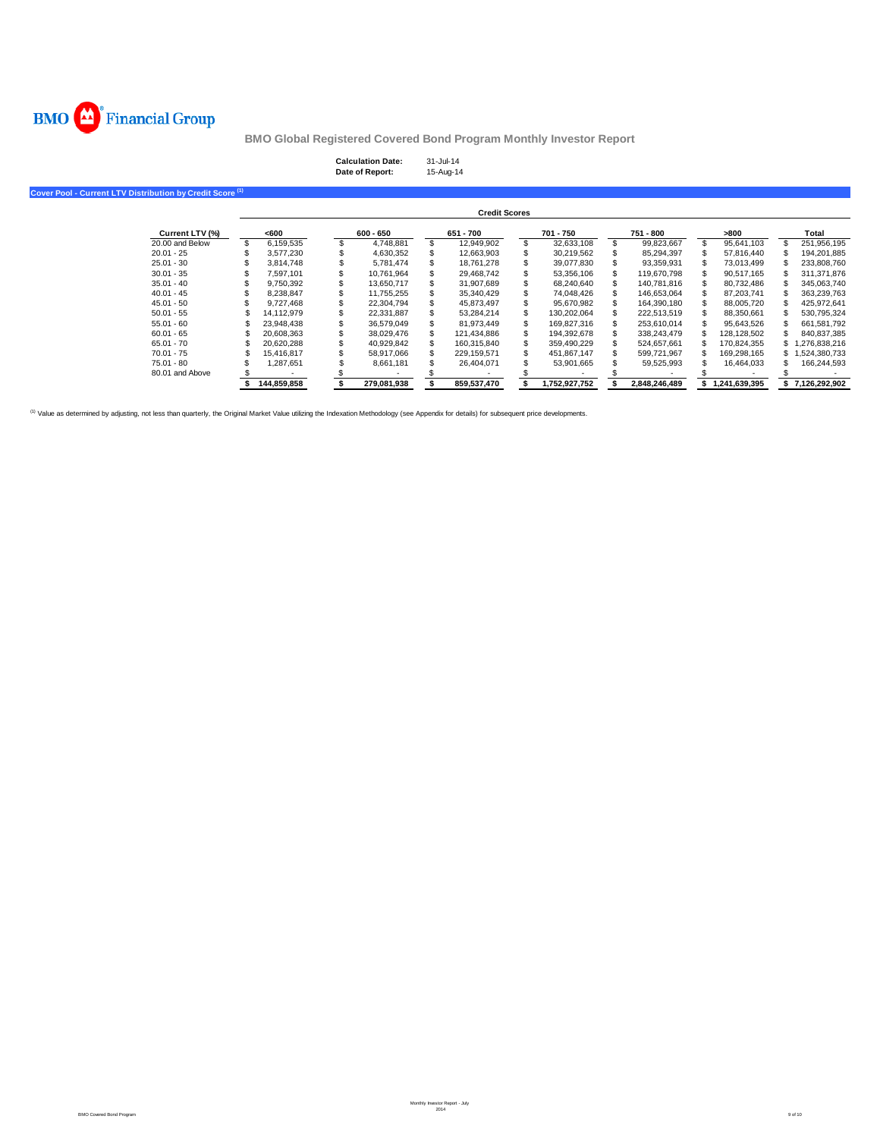

| <b>Calculation Date:</b> | 31-Jul-14 |
|--------------------------|-----------|
| Date of Report:          | 15-Aug-14 |

### **Cover Pool - Current LTV Distribution by Credit Score (1)**

|                 | <b>Credit Scores</b> |             |  |             |    |             |    |               |  |               |    |               |                 |
|-----------------|----------------------|-------------|--|-------------|----|-------------|----|---------------|--|---------------|----|---------------|-----------------|
| Current LTV (%) |                      | <600        |  | $600 - 650$ |    | 651 - 700   |    | 701 - 750     |  | 751 - 800     |    | -800          | Total           |
| 20.00 and Below |                      | 6.159.535   |  | 4.748.881   | S. | 12.949.902  | S  | 32.633.108    |  | 99.823.667    | \$ | 95.641.103    | 251.956.195     |
| $20.01 - 25$    |                      | 3.577.230   |  | 4.630.352   |    | 12.663.903  |    | 30.219.562    |  | 85.294.397    |    | 57.816.440    | 194.201.885     |
| $25.01 - 30$    |                      | 3.814.748   |  | 5.781.474   |    | 18.761.278  |    | 39,077,830    |  | 93.359.931    |    | 73.013.499    | 233.808.760     |
| $30.01 - 35$    |                      | 7.597.101   |  | 10.761.964  |    | 29.468.742  |    | 53.356.106    |  | 119.670.798   |    | 90.517.165    | 311.371.876     |
| $35.01 - 40$    |                      | 9.750.392   |  | 13.650.717  |    | 31.907.689  |    | 68.240.640    |  | 140.781.816   |    | 80.732.486    | 345,063,740     |
| $40.01 - 45$    |                      | 8.238.847   |  | 11.755.255  |    | 35.340.429  |    | 74.048.426    |  | 146.653.064   |    | 87.203.741    | 363.239.763     |
| $45.01 - 50$    |                      | 9.727.468   |  | 22.304.794  |    | 45.873.497  |    | 95.670.982    |  | 164.390.180   |    | 88.005.720    | 425.972.641     |
| $50.01 - 55$    |                      | 14.112.979  |  | 22.331.887  |    | 53.284.214  |    | 130.202.064   |  | 222.513.519   |    | 88.350.661    | 530.795.324     |
| $55.01 - 60$    |                      | 23.948.438  |  | 36.579.049  |    | 81.973.449  | \$ | 169.827.316   |  | 253.610.014   |    | 95.643.526    | 661.581.792     |
| $60.01 - 65$    |                      | 20.608.363  |  | 38.029.476  | \$ | 121.434.886 | \$ | 194.392.678   |  | 338.243.479   |    | 128.128.502   | 840.837.385     |
| $65.01 - 70$    |                      | 20.620.288  |  | 40.929.842  | S. | 160.315.840 |    | 359.490.229   |  | 524.657.661   |    | 170.824.355   | \$1.276.838.216 |
| $70.01 - 75$    |                      | 15.416.817  |  | 58.917.066  | S. | 229.159.571 | S  | 451.867.147   |  | 599.721.967   |    | 169.298.165   | \$1,524,380,733 |
| $75.01 - 80$    |                      | 1.287.651   |  | 8.661.181   |    | 26.404.071  |    | 53,901,665    |  | 59,525,993    |    | 16.464.033    | 166,244,593     |
| 80.01 and Above |                      |             |  |             |    |             |    |               |  |               |    |               |                 |
|                 |                      | 144.859.858 |  | 279.081.938 |    | 859.537.470 |    | 1.752.927.752 |  | 2.848.246.489 |    | 1.241.639.395 | 7.126.292.902   |

(1) Value as determined by adjusting, not less than quarterly, the Original Market Value utilizing the Indexation Methodology (see Appendix for details) for subsequent price developments.